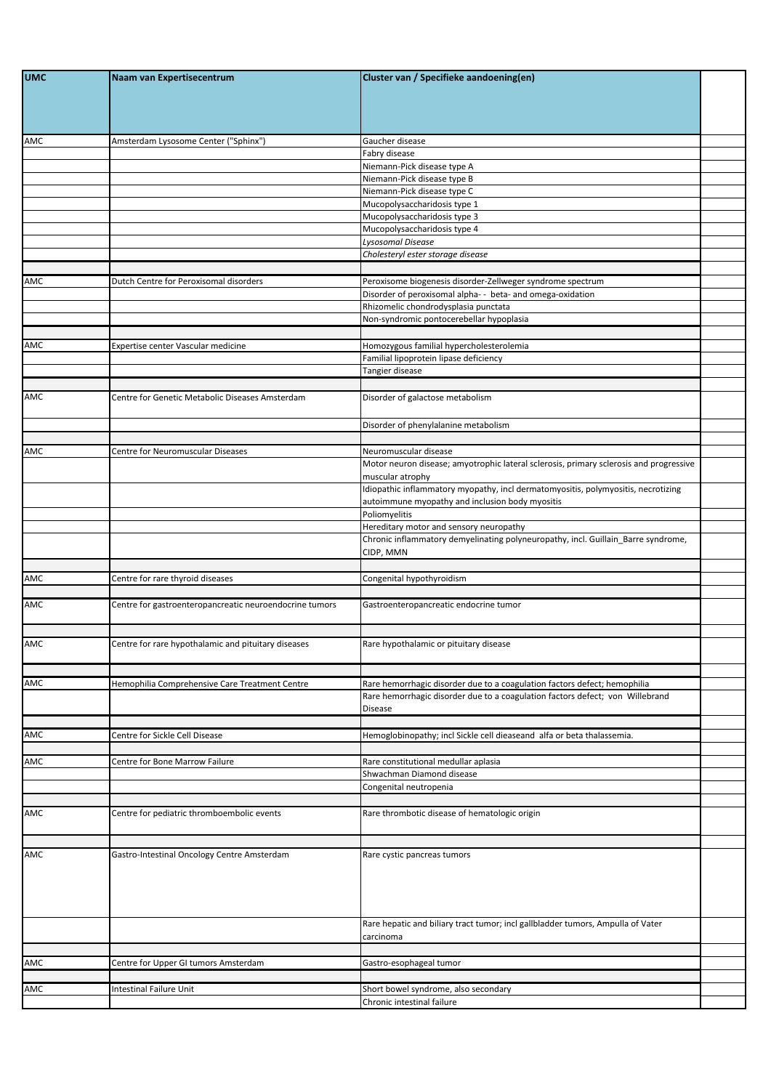| <b>UMC</b> | Naam van Expertisecentrum                               | Cluster van / Specifieke aandoening(en)                                                                                              |  |
|------------|---------------------------------------------------------|--------------------------------------------------------------------------------------------------------------------------------------|--|
|            |                                                         |                                                                                                                                      |  |
| AMC        | Amsterdam Lysosome Center ("Sphinx")                    | Gaucher disease                                                                                                                      |  |
|            |                                                         | Fabry disease<br>Niemann-Pick disease type A                                                                                         |  |
|            |                                                         | Niemann-Pick disease type B                                                                                                          |  |
|            |                                                         | Niemann-Pick disease type C                                                                                                          |  |
|            |                                                         | Mucopolysaccharidosis type 1                                                                                                         |  |
|            |                                                         | Mucopolysaccharidosis type 3                                                                                                         |  |
|            |                                                         | Mucopolysaccharidosis type 4                                                                                                         |  |
|            |                                                         | Lysosomal Disease                                                                                                                    |  |
|            |                                                         | Cholesteryl ester storage disease                                                                                                    |  |
|            |                                                         |                                                                                                                                      |  |
| AMC        | Dutch Centre for Peroxisomal disorders                  | Peroxisome biogenesis disorder-Zellweger syndrome spectrum<br>Disorder of peroxisomal alpha- - beta- and omega-oxidation             |  |
|            |                                                         | Rhizomelic chondrodysplasia punctata                                                                                                 |  |
|            |                                                         | Non-syndromic pontocerebellar hypoplasia                                                                                             |  |
|            |                                                         |                                                                                                                                      |  |
| AMC        | Expertise center Vascular medicine                      | Homozygous familial hypercholesterolemia                                                                                             |  |
|            |                                                         | Familial lipoprotein lipase deficiency                                                                                               |  |
|            |                                                         | Tangier disease                                                                                                                      |  |
|            |                                                         |                                                                                                                                      |  |
| AMC        | Centre for Genetic Metabolic Diseases Amsterdam         | Disorder of galactose metabolism                                                                                                     |  |
|            |                                                         | Disorder of phenylalanine metabolism                                                                                                 |  |
|            |                                                         |                                                                                                                                      |  |
| AMC        | Centre for Neuromuscular Diseases                       | Neuromuscular disease                                                                                                                |  |
|            |                                                         | Motor neuron disease; amyotrophic lateral sclerosis, primary sclerosis and progressive<br>muscular atrophy                           |  |
|            |                                                         | Idiopathic inflammatory myopathy, incl dermatomyositis, polymyositis, necrotizing<br>autoimmune myopathy and inclusion body myositis |  |
|            |                                                         | Poliomyelitis                                                                                                                        |  |
|            |                                                         | Hereditary motor and sensory neuropathy                                                                                              |  |
|            |                                                         | Chronic inflammatory demyelinating polyneuropathy, incl. Guillain_Barre syndrome,<br>CIDP, MMN                                       |  |
|            |                                                         |                                                                                                                                      |  |
| AMC        | Centre for rare thyroid diseases                        | Congenital hypothyroidism                                                                                                            |  |
| AMC        | Centre for gastroenteropancreatic neuroendocrine tumors | Gastroenteropancreatic endocrine tumor                                                                                               |  |
|            |                                                         |                                                                                                                                      |  |
| AMC        | Centre for rare hypothalamic and pituitary diseases     | Rare hypothalamic or pituitary disease                                                                                               |  |
|            |                                                         |                                                                                                                                      |  |
| AMC        | Hemophilia Comprehensive Care Treatment Centre          | Rare hemorrhagic disorder due to a coagulation factors defect; hemophilia                                                            |  |
|            |                                                         | Rare hemorrhagic disorder due to a coagulation factors defect; von Willebrand                                                        |  |
|            |                                                         | Disease                                                                                                                              |  |
|            |                                                         |                                                                                                                                      |  |
| AMC        | Centre for Sickle Cell Disease                          | Hemoglobinopathy; incl Sickle cell dieaseand alfa or beta thalassemia.                                                               |  |
|            |                                                         |                                                                                                                                      |  |
| AMC        | Centre for Bone Marrow Failure                          | Rare constitutional medullar aplasia<br>Shwachman Diamond disease                                                                    |  |
|            |                                                         | Congenital neutropenia                                                                                                               |  |
|            |                                                         |                                                                                                                                      |  |
| AMC        | Centre for pediatric thromboembolic events              | Rare thrombotic disease of hematologic origin                                                                                        |  |
|            |                                                         |                                                                                                                                      |  |
| AMC        | Gastro-Intestinal Oncology Centre Amsterdam             | Rare cystic pancreas tumors                                                                                                          |  |
|            |                                                         |                                                                                                                                      |  |
|            |                                                         | Rare hepatic and biliary tract tumor; incl gallbladder tumors, Ampulla of Vater<br>carcinoma                                         |  |
|            |                                                         |                                                                                                                                      |  |
| AMC        | Centre for Upper GI tumors Amsterdam                    | Gastro-esophageal tumor                                                                                                              |  |
|            |                                                         |                                                                                                                                      |  |
| AMC        | <b>Intestinal Failure Unit</b>                          | Short bowel syndrome, also secondary                                                                                                 |  |
|            |                                                         | Chronic intestinal failure                                                                                                           |  |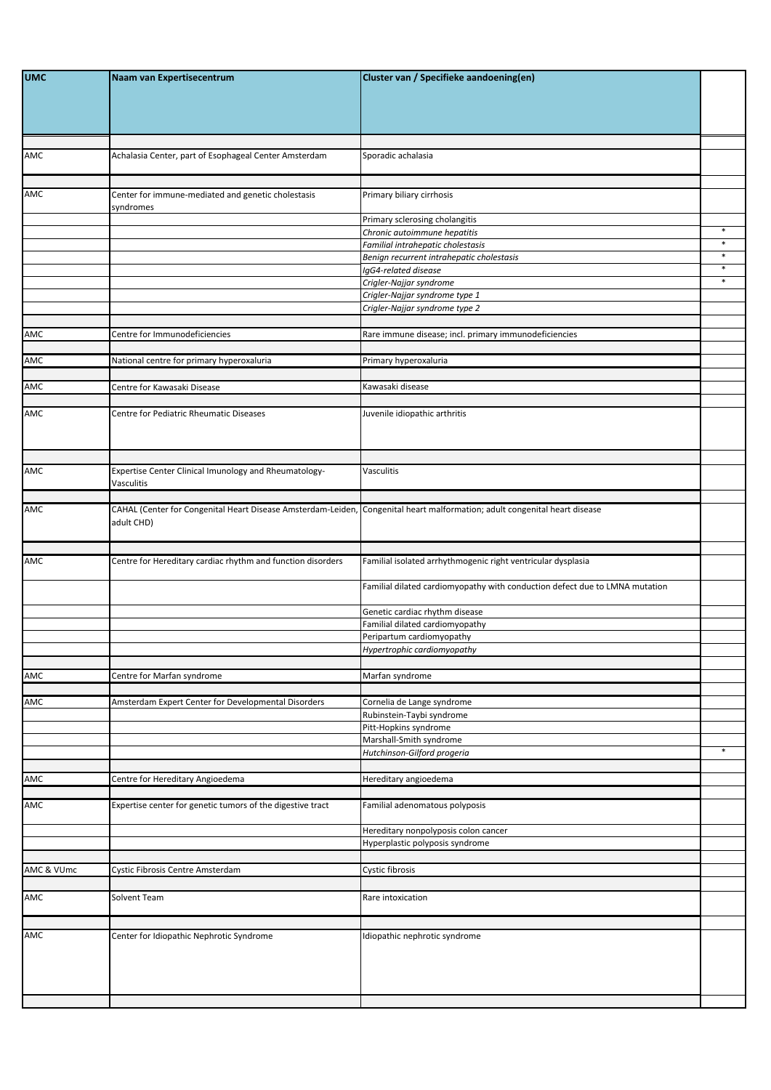| <b>UMC</b> | Naam van Expertisecentrum                                                                                                  | Cluster van / Specifieke aandoening(en)                                     |        |
|------------|----------------------------------------------------------------------------------------------------------------------------|-----------------------------------------------------------------------------|--------|
|            |                                                                                                                            |                                                                             |        |
| AMC        | Achalasia Center, part of Esophageal Center Amsterdam                                                                      | Sporadic achalasia                                                          |        |
| AMC        | Center for immune-mediated and genetic cholestasis<br>syndromes                                                            | Primary biliary cirrhosis                                                   |        |
|            |                                                                                                                            | Primary sclerosing cholangitis                                              | $\ast$ |
|            |                                                                                                                            | Chronic autoimmune hepatitis<br>Familial intrahepatic cholestasis           | $\ast$ |
|            |                                                                                                                            | Benign recurrent intrahepatic cholestasis                                   | $\ast$ |
|            |                                                                                                                            | IgG4-related disease                                                        | $\ast$ |
|            |                                                                                                                            | Crigler-Najjar syndrome<br>Crigler-Najjar syndrome type 1                   | $\ast$ |
|            |                                                                                                                            | Crigler-Najjar syndrome type 2                                              |        |
|            |                                                                                                                            |                                                                             |        |
| AMC        | Centre for Immunodeficiencies                                                                                              | Rare immune disease; incl. primary immunodeficiencies                       |        |
| AMC        | National centre for primary hyperoxaluria                                                                                  | Primary hyperoxaluria                                                       |        |
|            |                                                                                                                            |                                                                             |        |
| AMC        | Centre for Kawasaki Disease                                                                                                | Kawasaki disease                                                            |        |
| AMC        | Centre for Pediatric Rheumatic Diseases                                                                                    | Juvenile idiopathic arthritis                                               |        |
|            |                                                                                                                            |                                                                             |        |
| AMC        | Expertise Center Clinical Imunology and Rheumatology-<br>Vasculitis                                                        | Vasculitis                                                                  |        |
| AMC        | CAHAL (Center for Congenital Heart Disease Amsterdam-Leiden, Congenital heart malformation; adult congenital heart disease |                                                                             |        |
|            | adult CHD)                                                                                                                 |                                                                             |        |
| AMC        | Centre for Hereditary cardiac rhythm and function disorders                                                                | Familial isolated arrhythmogenic right ventricular dysplasia                |        |
|            |                                                                                                                            | Familial dilated cardiomyopathy with conduction defect due to LMNA mutation |        |
|            |                                                                                                                            | Genetic cardiac rhythm disease                                              |        |
|            |                                                                                                                            | Familial dilated cardiomyopathy<br>Peripartum cardiomyopathy                |        |
|            |                                                                                                                            | Hypertrophic cardiomyopathy                                                 |        |
|            |                                                                                                                            |                                                                             |        |
| AMC        | Centre for Marfan syndrome                                                                                                 | Marfan syndrome                                                             |        |
|            |                                                                                                                            |                                                                             |        |
| AMC        | Amsterdam Expert Center for Developmental Disorders                                                                        | Cornelia de Lange syndrome<br>Rubinstein-Taybi syndrome                     |        |
|            |                                                                                                                            | Pitt-Hopkins syndrome                                                       |        |
|            |                                                                                                                            | Marshall-Smith syndrome                                                     | $\ast$ |
|            |                                                                                                                            | Hutchinson-Gilford progeria                                                 |        |
| AMC        | Centre for Hereditary Angioedema                                                                                           | Hereditary angioedema                                                       |        |
| AMC        | Expertise center for genetic tumors of the digestive tract                                                                 | Familial adenomatous polyposis                                              |        |
|            |                                                                                                                            | Hereditary nonpolyposis colon cancer                                        |        |
|            |                                                                                                                            | Hyperplastic polyposis syndrome                                             |        |
|            |                                                                                                                            |                                                                             |        |
| AMC & VUmc | Cystic Fibrosis Centre Amsterdam                                                                                           | Cystic fibrosis                                                             |        |
| AMC        | Solvent Team                                                                                                               | Rare intoxication                                                           |        |
|            |                                                                                                                            |                                                                             |        |
| AMC        | Center for Idiopathic Nephrotic Syndrome                                                                                   | Idiopathic nephrotic syndrome                                               |        |
|            |                                                                                                                            |                                                                             |        |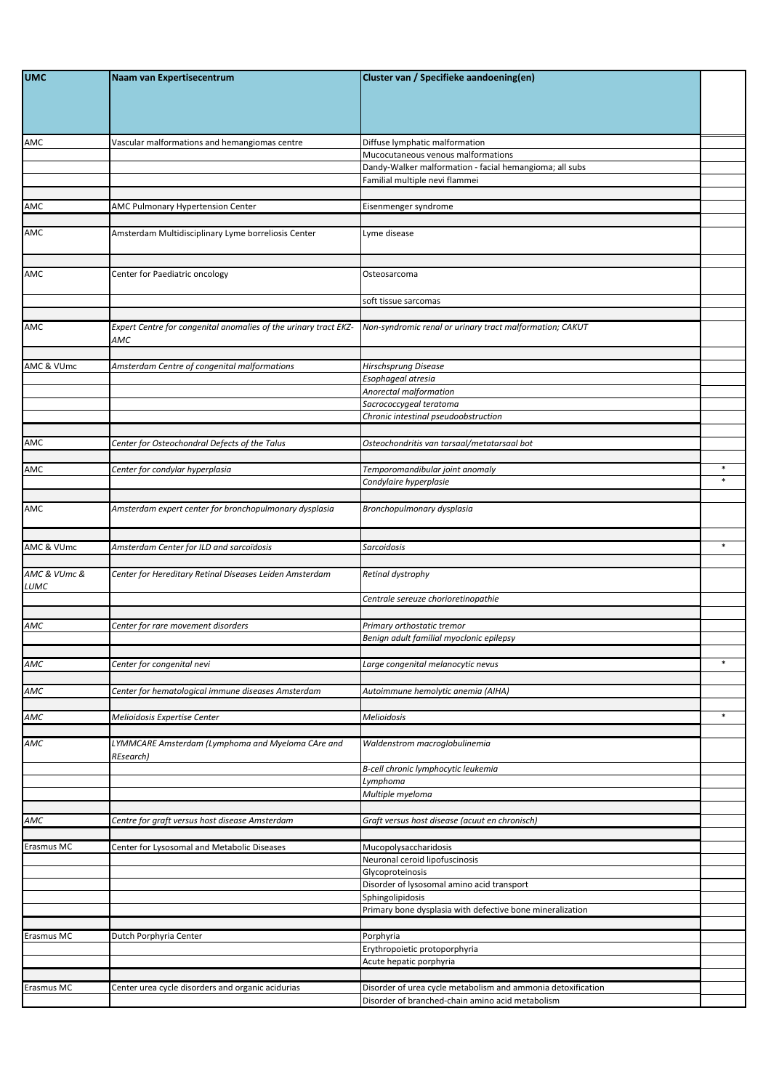| <b>UMC</b>               | Naam van Expertisecentrum                                        | Cluster van / Specifieke aandoening(en)                                                                          |        |
|--------------------------|------------------------------------------------------------------|------------------------------------------------------------------------------------------------------------------|--------|
|                          |                                                                  |                                                                                                                  |        |
|                          |                                                                  |                                                                                                                  |        |
| AMC                      | Vascular malformations and hemangiomas centre                    | Diffuse lymphatic malformation                                                                                   |        |
|                          |                                                                  | Mucocutaneous venous malformations                                                                               |        |
|                          |                                                                  | Dandy-Walker malformation - facial hemangioma; all subs                                                          |        |
|                          |                                                                  | Familial multiple nevi flammei                                                                                   |        |
| AMC                      | AMC Pulmonary Hypertension Center                                | Eisenmenger syndrome                                                                                             |        |
|                          |                                                                  |                                                                                                                  |        |
| AMC                      | Amsterdam Multidisciplinary Lyme borreliosis Center              | Lyme disease                                                                                                     |        |
|                          |                                                                  |                                                                                                                  |        |
| <b>AMC</b>               | Center for Paediatric oncology                                   | Osteosarcoma                                                                                                     |        |
|                          |                                                                  |                                                                                                                  |        |
|                          |                                                                  | soft tissue sarcomas                                                                                             |        |
| AMC                      | Expert Centre for congenital anomalies of the urinary tract EKZ- | Non-syndromic renal or urinary tract malformation; CAKUT                                                         |        |
|                          | AMC                                                              |                                                                                                                  |        |
|                          |                                                                  |                                                                                                                  |        |
| AMC & VUmc               | Amsterdam Centre of congenital malformations                     | Hirschsprung Disease<br>Esophageal atresia                                                                       |        |
|                          |                                                                  | Anorectal malformation                                                                                           |        |
|                          |                                                                  | Sacrococcygeal teratoma                                                                                          |        |
|                          |                                                                  | Chronic intestinal pseudoobstruction                                                                             |        |
| AMC                      | Center for Osteochondral Defects of the Talus                    | Osteochondritis van tarsaal/metatarsaal bot                                                                      |        |
|                          |                                                                  |                                                                                                                  |        |
| AMC                      | Center for condylar hyperplasia                                  | Temporomandibular joint anomaly                                                                                  | *      |
|                          |                                                                  | Condylaire hyperplasie                                                                                           | $\ast$ |
| AMC                      | Amsterdam expert center for bronchopulmonary dysplasia           | Bronchopulmonary dysplasia                                                                                       |        |
|                          |                                                                  |                                                                                                                  |        |
|                          |                                                                  |                                                                                                                  |        |
|                          |                                                                  |                                                                                                                  |        |
| AMC & VUmc               | Amsterdam Center for ILD and sarcoïdosis                         | Sarcoidosis                                                                                                      | $\ast$ |
| AMC & VUmc &             | Center for Hereditary Retinal Diseases Leiden Amsterdam          | Retinal dystrophy                                                                                                |        |
| LUMC                     |                                                                  |                                                                                                                  |        |
|                          |                                                                  | Centrale sereuze chorioretinopathie                                                                              |        |
|                          |                                                                  |                                                                                                                  |        |
|                          | Center for rare movement disorders                               | Primary orthostatic tremor<br>Benign adult familial myoclonic epilepsy                                           |        |
|                          |                                                                  |                                                                                                                  |        |
|                          | Center for congenital nevi                                       | Large congenital melanocytic nevus                                                                               | $\ast$ |
| AMC<br>AMC               |                                                                  |                                                                                                                  |        |
| AMC                      | Center for hematological immune diseases Amsterdam               | Autoimmune hemolytic anemia (AIHA)                                                                               |        |
| AMC                      | Melioidosis Expertise Center                                     | Melioidosis                                                                                                      | $\ast$ |
|                          |                                                                  |                                                                                                                  |        |
|                          | LYMMCARE Amsterdam (Lymphoma and Myeloma CAre and<br>REsearch)   | Waldenstrom macroglobulinemia                                                                                    |        |
|                          |                                                                  | B-cell chronic lymphocytic leukemia                                                                              |        |
|                          |                                                                  | Lymphoma                                                                                                         |        |
| AMC                      |                                                                  | Multiple myeloma                                                                                                 |        |
|                          | Centre for graft versus host disease Amsterdam                   | Graft versus host disease (acuut en chronisch)                                                                   |        |
|                          |                                                                  |                                                                                                                  |        |
| AMC<br><b>Erasmus MC</b> | Center for Lysosomal and Metabolic Diseases                      | Mucopolysaccharidosis                                                                                            |        |
|                          |                                                                  | Neuronal ceroid lipofuscinosis                                                                                   |        |
|                          |                                                                  | Glycoproteinosis<br>Disorder of lysosomal amino acid transport                                                   |        |
|                          |                                                                  | Sphingolipidosis                                                                                                 |        |
|                          |                                                                  | Primary bone dysplasia with defective bone mineralization                                                        |        |
|                          |                                                                  |                                                                                                                  |        |
| Erasmus MC               | Dutch Porphyria Center                                           | Porphyria<br>Erythropoietic protoporphyria                                                                       |        |
|                          |                                                                  | Acute hepatic porphyria                                                                                          |        |
|                          |                                                                  |                                                                                                                  |        |
| Frasmus MC               | Center urea cycle disorders and organic acidurias                | Disorder of urea cycle metabolism and ammonia detoxification<br>Disorder of branched-chain amino acid metabolism |        |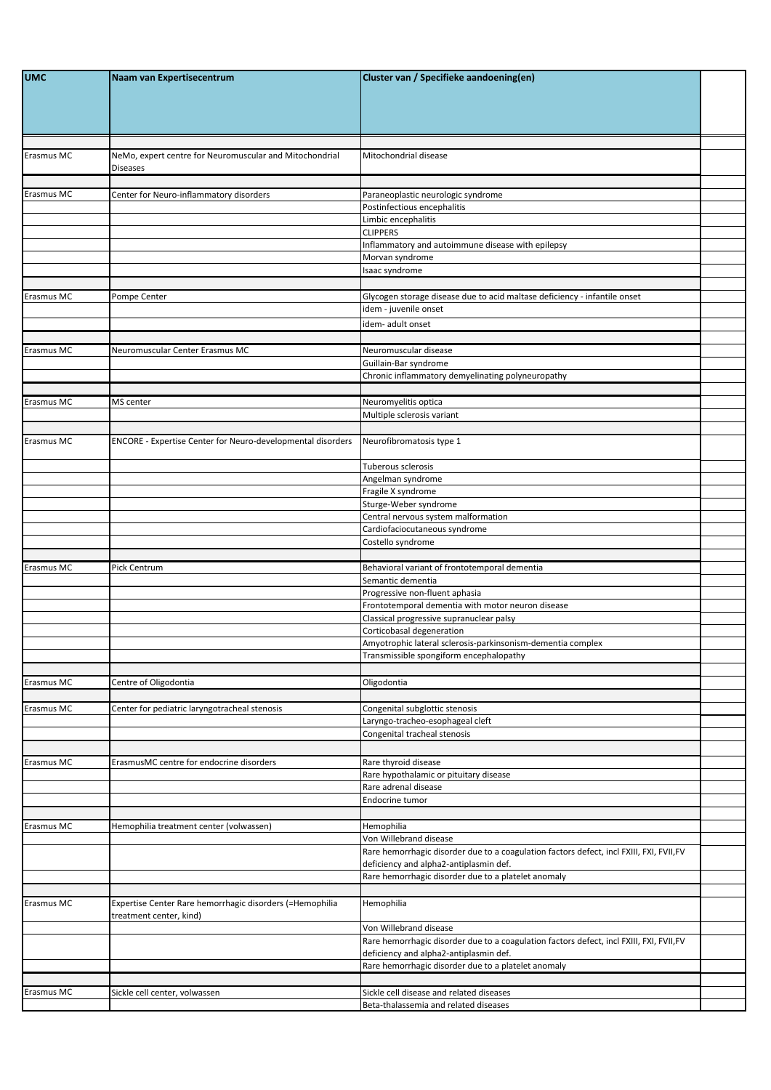| <b>UMC</b> | Naam van Expertisecentrum                                                           | Cluster van / Specifieke aandoening(en)                                                                                           |  |
|------------|-------------------------------------------------------------------------------------|-----------------------------------------------------------------------------------------------------------------------------------|--|
|            |                                                                                     |                                                                                                                                   |  |
| Erasmus MC | NeMo, expert centre for Neuromuscular and Mitochondrial<br><b>Diseases</b>          | Mitochondrial disease                                                                                                             |  |
| Erasmus MC | Center for Neuro-inflammatory disorders                                             | Paraneoplastic neurologic syndrome                                                                                                |  |
|            |                                                                                     | Postinfectious encephalitis                                                                                                       |  |
|            |                                                                                     | Limbic encephalitis                                                                                                               |  |
|            |                                                                                     | <b>CLIPPERS</b><br>Inflammatory and autoimmune disease with epilepsy                                                              |  |
|            |                                                                                     | Morvan syndrome                                                                                                                   |  |
|            |                                                                                     | Isaac syndrome                                                                                                                    |  |
|            |                                                                                     |                                                                                                                                   |  |
| Erasmus MC | Pompe Center                                                                        | Glycogen storage disease due to acid maltase deficiency - infantile onset<br>idem - juvenile onset                                |  |
|            |                                                                                     | idem- adult onset                                                                                                                 |  |
|            |                                                                                     |                                                                                                                                   |  |
| Erasmus MC | Neuromuscular Center Erasmus MC                                                     | Neuromuscular disease                                                                                                             |  |
|            |                                                                                     | Guillain-Bar syndrome                                                                                                             |  |
|            |                                                                                     | Chronic inflammatory demyelinating polyneuropathy                                                                                 |  |
| Erasmus MC | MS center                                                                           | Neuromyelitis optica                                                                                                              |  |
|            |                                                                                     | Multiple sclerosis variant                                                                                                        |  |
|            |                                                                                     |                                                                                                                                   |  |
| Erasmus MC | ENCORE - Expertise Center for Neuro-developmental disorders                         | Neurofibromatosis type 1                                                                                                          |  |
|            |                                                                                     | Tuberous sclerosis<br>Angelman syndrome                                                                                           |  |
|            |                                                                                     | Fragile X syndrome                                                                                                                |  |
|            |                                                                                     | Sturge-Weber syndrome                                                                                                             |  |
|            |                                                                                     | Central nervous system malformation                                                                                               |  |
|            |                                                                                     | Cardiofaciocutaneous syndrome<br>Costello syndrome                                                                                |  |
|            |                                                                                     |                                                                                                                                   |  |
| Erasmus MC | Pick Centrum                                                                        | Behavioral variant of frontotemporal dementia                                                                                     |  |
|            |                                                                                     | Semantic dementia                                                                                                                 |  |
|            |                                                                                     | Progressive non-fluent aphasia<br>Frontotemporal dementia with motor neuron disease                                               |  |
|            |                                                                                     | Classical progressive supranuclear palsy                                                                                          |  |
|            |                                                                                     | Corticobasal degeneration                                                                                                         |  |
|            |                                                                                     | Amyotrophic lateral sclerosis-parkinsonism-dementia complex<br>Transmissible spongiform encephalopathy                            |  |
|            |                                                                                     |                                                                                                                                   |  |
| Erasmus MC | Centre of Oligodontia                                                               | Oligodontia                                                                                                                       |  |
|            |                                                                                     |                                                                                                                                   |  |
| Erasmus MC | Center for pediatric laryngotracheal stenosis                                       | Congenital subglottic stenosis                                                                                                    |  |
|            |                                                                                     | Laryngo-tracheo-esophageal cleft<br>Congenital tracheal stenosis                                                                  |  |
|            |                                                                                     |                                                                                                                                   |  |
| Erasmus MC | ErasmusMC centre for endocrine disorders                                            | Rare thyroid disease                                                                                                              |  |
|            |                                                                                     | Rare hypothalamic or pituitary disease                                                                                            |  |
|            |                                                                                     | Rare adrenal disease                                                                                                              |  |
|            |                                                                                     | Endocrine tumor                                                                                                                   |  |
| Erasmus MC | Hemophilia treatment center (volwassen)                                             | Hemophilia                                                                                                                        |  |
|            |                                                                                     | Von Willebrand disease                                                                                                            |  |
|            |                                                                                     | Rare hemorrhagic disorder due to a coagulation factors defect, incl FXIII, FXI, FVII,FV                                           |  |
|            |                                                                                     | deficiency and alpha2-antiplasmin def.<br>Rare hemorrhagic disorder due to a platelet anomaly                                     |  |
|            |                                                                                     |                                                                                                                                   |  |
| Erasmus MC | Expertise Center Rare hemorrhagic disorders (=Hemophilia<br>treatment center, kind) | Hemophilia                                                                                                                        |  |
|            |                                                                                     | Von Willebrand disease                                                                                                            |  |
|            |                                                                                     | Rare hemorrhagic disorder due to a coagulation factors defect, incl FXIII, FXI, FVII,FV<br>deficiency and alpha2-antiplasmin def. |  |
|            |                                                                                     | Rare hemorrhagic disorder due to a platelet anomaly                                                                               |  |
| Erasmus MC | Sickle cell center, volwassen                                                       | Sickle cell disease and related diseases                                                                                          |  |
|            |                                                                                     | Beta-thalassemia and related diseases                                                                                             |  |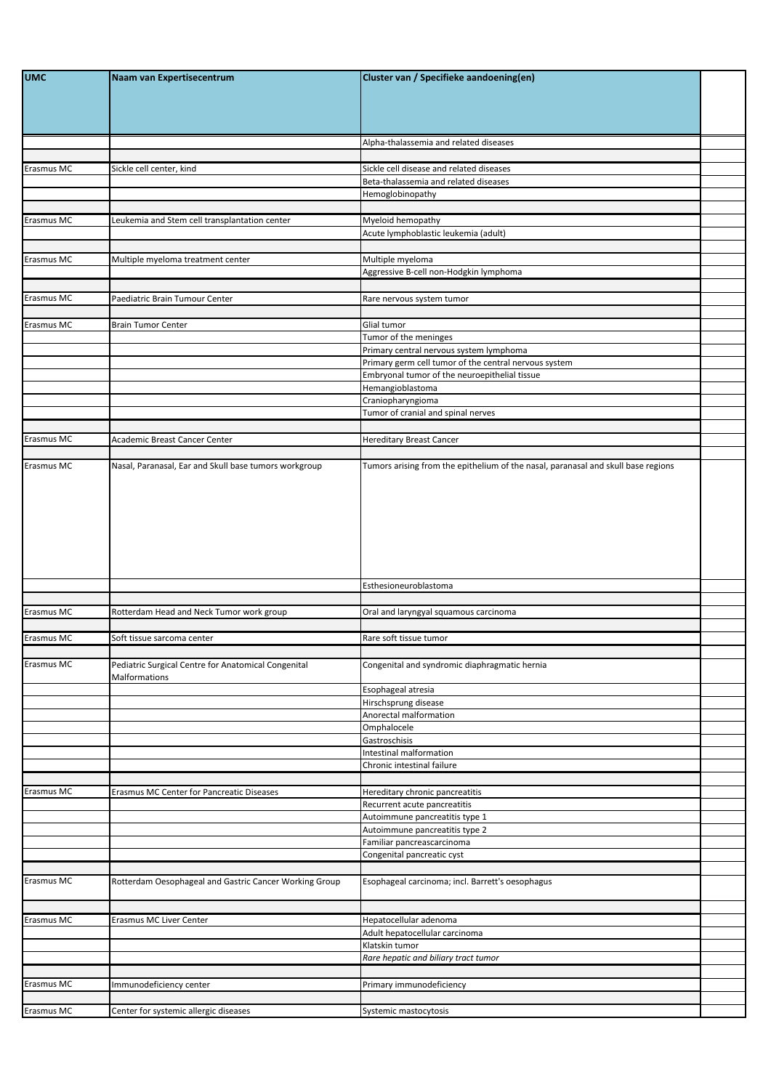| <b>UMC</b> | Naam van Expertisecentrum                                            | Cluster van / Specifieke aandoening(en)                                           |  |
|------------|----------------------------------------------------------------------|-----------------------------------------------------------------------------------|--|
|            |                                                                      | Alpha-thalassemia and related diseases                                            |  |
|            |                                                                      |                                                                                   |  |
| Erasmus MC | Sickle cell center, kind                                             | Sickle cell disease and related diseases                                          |  |
|            |                                                                      | Beta-thalassemia and related diseases<br>Hemoglobinopathy                         |  |
|            |                                                                      |                                                                                   |  |
| Erasmus MC | Leukemia and Stem cell transplantation center                        | Myeloid hemopathy                                                                 |  |
|            |                                                                      | Acute lymphoblastic leukemia (adult)                                              |  |
|            |                                                                      |                                                                                   |  |
| Erasmus MC | Multiple myeloma treatment center                                    | Multiple myeloma<br>Aggressive B-cell non-Hodgkin lymphoma                        |  |
|            |                                                                      |                                                                                   |  |
| Erasmus MC | Paediatric Brain Tumour Center                                       | Rare nervous system tumor                                                         |  |
|            |                                                                      |                                                                                   |  |
| Erasmus MC | <b>Brain Tumor Center</b>                                            | Glial tumor                                                                       |  |
|            |                                                                      | Tumor of the meninges<br>Primary central nervous system lymphoma                  |  |
|            |                                                                      | Primary germ cell tumor of the central nervous system                             |  |
|            |                                                                      | Embryonal tumor of the neuroepithelial tissue                                     |  |
|            |                                                                      | Hemangioblastoma                                                                  |  |
|            |                                                                      | Craniopharyngioma<br>Tumor of cranial and spinal nerves                           |  |
|            |                                                                      |                                                                                   |  |
| Erasmus MC | Academic Breast Cancer Center                                        | <b>Hereditary Breast Cancer</b>                                                   |  |
|            |                                                                      |                                                                                   |  |
| Erasmus MC | Nasal, Paranasal, Ear and Skull base tumors workgroup                | Tumors arising from the epithelium of the nasal, paranasal and skull base regions |  |
|            |                                                                      | Esthesioneuroblastoma                                                             |  |
| Erasmus MC | Rotterdam Head and Neck Tumor work group                             | Oral and laryngyal squamous carcinoma                                             |  |
|            |                                                                      |                                                                                   |  |
| Erasmus MC | Soft tissue sarcoma center                                           | Rare soft tissue tumor                                                            |  |
| Erasmus MC | Pediatric Surgical Centre for Anatomical Congenital<br>Malformations | Congenital and syndromic diaphragmatic hernia                                     |  |
|            |                                                                      | Esophageal atresia                                                                |  |
|            |                                                                      | Hirschsprung disease                                                              |  |
|            |                                                                      | Anorectal malformation<br>Omphalocele                                             |  |
|            |                                                                      | Gastroschisis                                                                     |  |
|            |                                                                      | Intestinal malformation                                                           |  |
|            |                                                                      | Chronic intestinal failure                                                        |  |
|            |                                                                      |                                                                                   |  |
| Erasmus MC | Erasmus MC Center for Pancreatic Diseases                            | Hereditary chronic pancreatitis                                                   |  |
|            |                                                                      | Recurrent acute pancreatitis<br>Autoimmune pancreatitis type 1                    |  |
|            |                                                                      | Autoimmune pancreatitis type 2                                                    |  |
|            |                                                                      | Familiar pancreascarcinoma                                                        |  |
|            |                                                                      | Congenital pancreatic cyst                                                        |  |
|            |                                                                      |                                                                                   |  |
| Erasmus MC | Rotterdam Oesophageal and Gastric Cancer Working Group               | Esophageal carcinoma; incl. Barrett's oesophagus                                  |  |
| Erasmus MC | Erasmus MC Liver Center                                              | Hepatocellular adenoma                                                            |  |
|            |                                                                      | Adult hepatocellular carcinoma                                                    |  |
|            |                                                                      | Klatskin tumor                                                                    |  |
|            |                                                                      | Rare hepatic and biliary tract tumor                                              |  |
|            |                                                                      |                                                                                   |  |
| Erasmus MC | Immunodeficiency center                                              | Primary immunodeficiency                                                          |  |
|            |                                                                      |                                                                                   |  |
| Erasmus MC | Center for systemic allergic diseases                                | Systemic mastocytosis                                                             |  |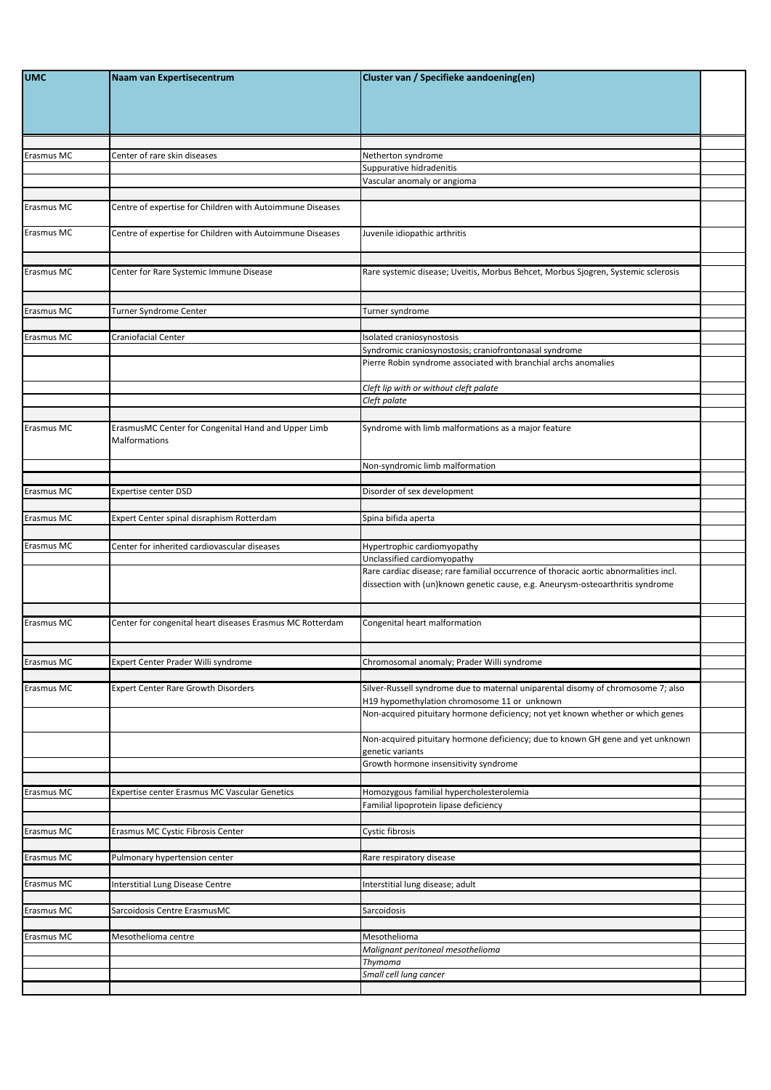| <b>UMC</b> | Naam van Expertisecentrum                                            | Cluster van / Specifieke aandoening(en)                                                                                                                                 |  |
|------------|----------------------------------------------------------------------|-------------------------------------------------------------------------------------------------------------------------------------------------------------------------|--|
|            |                                                                      |                                                                                                                                                                         |  |
| Erasmus MC | Center of rare skin diseases                                         | Netherton syndrome                                                                                                                                                      |  |
|            |                                                                      | Suppurative hidradenitis                                                                                                                                                |  |
|            |                                                                      | Vascular anomaly or angioma                                                                                                                                             |  |
| Erasmus MC | Centre of expertise for Children with Autoimmune Diseases            |                                                                                                                                                                         |  |
| Erasmus MC | Centre of expertise for Children with Autoimmune Diseases            | Juvenile idiopathic arthritis                                                                                                                                           |  |
| Erasmus MC | Center for Rare Systemic Immune Disease                              | Rare systemic disease; Uveitis, Morbus Behcet, Morbus Sjogren, Systemic sclerosis                                                                                       |  |
| Erasmus MC | <b>Turner Syndrome Center</b>                                        | Turner syndrome                                                                                                                                                         |  |
|            |                                                                      |                                                                                                                                                                         |  |
| Erasmus MC | Craniofacial Center                                                  | Isolated craniosynostosis                                                                                                                                               |  |
|            |                                                                      | Syndromic craniosynostosis; craniofrontonasal syndrome                                                                                                                  |  |
|            |                                                                      | Pierre Robin syndrome associated with branchial archs anomalies                                                                                                         |  |
|            |                                                                      | Cleft lip with or without cleft palate                                                                                                                                  |  |
|            |                                                                      | Cleft palate                                                                                                                                                            |  |
| Erasmus MC | ErasmusMC Center for Congenital Hand and Upper Limb<br>Malformations | Syndrome with limb malformations as a major feature                                                                                                                     |  |
|            |                                                                      | Non-syndromic limb malformation                                                                                                                                         |  |
|            |                                                                      |                                                                                                                                                                         |  |
| Erasmus MC | <b>Expertise center DSD</b>                                          | Disorder of sex development                                                                                                                                             |  |
| Erasmus MC | Expert Center spinal disraphism Rotterdam                            | Spina bifida aperta                                                                                                                                                     |  |
|            |                                                                      |                                                                                                                                                                         |  |
| Erasmus MC | Center for inherited cardiovascular diseases                         | Hypertrophic cardiomyopathy                                                                                                                                             |  |
|            |                                                                      | Unclassified cardiomyopathy                                                                                                                                             |  |
|            |                                                                      | Rare cardiac disease; rare familial occurrence of thoracic aortic abnormalities incl.<br>dissection with (un)known genetic cause, e.g. Aneurysm-osteoarthritis syndrome |  |
|            |                                                                      |                                                                                                                                                                         |  |
| Erasmus MC | Center for congenital heart diseases Erasmus MC Rotterdam            | Congenital heart malformation                                                                                                                                           |  |
| Erasmus MC | Expert Center Prader Willi syndrome                                  | Chromosomal anomaly; Prader Willi syndrome                                                                                                                              |  |
|            |                                                                      |                                                                                                                                                                         |  |
| Erasmus MC | <b>Expert Center Rare Growth Disorders</b>                           | Silver-Russell syndrome due to maternal uniparental disomy of chromosome 7; also<br>H19 hypomethylation chromosome 11 or unknown                                        |  |
|            |                                                                      | Non-acquired pituitary hormone deficiency; not yet known whether or which genes                                                                                         |  |
|            |                                                                      | Non-acquired pituitary hormone deficiency; due to known GH gene and yet unknown<br>genetic variants<br>Growth hormone insensitivity syndrome                            |  |
|            |                                                                      |                                                                                                                                                                         |  |
| Erasmus MC | Expertise center Erasmus MC Vascular Genetics                        | Homozygous familial hypercholesterolemia                                                                                                                                |  |
|            |                                                                      | Familial lipoprotein lipase deficiency                                                                                                                                  |  |
| Erasmus MC | Erasmus MC Cystic Fibrosis Center                                    | Cystic fibrosis                                                                                                                                                         |  |
|            |                                                                      |                                                                                                                                                                         |  |
| Erasmus MC | Pulmonary hypertension center                                        | Rare respiratory disease                                                                                                                                                |  |
| Erasmus MC | Interstitial Lung Disease Centre                                     | Interstitial lung disease; adult                                                                                                                                        |  |
|            |                                                                      |                                                                                                                                                                         |  |
| Erasmus MC | Sarcoidosis Centre ErasmusMC                                         | Sarcoidosis                                                                                                                                                             |  |
|            |                                                                      |                                                                                                                                                                         |  |
| Erasmus MC | Mesothelioma centre                                                  | Mesothelioma                                                                                                                                                            |  |
|            |                                                                      | Malignant peritoneal mesothelioma<br>Thymoma                                                                                                                            |  |
|            |                                                                      | Small cell lung cancer                                                                                                                                                  |  |
|            |                                                                      |                                                                                                                                                                         |  |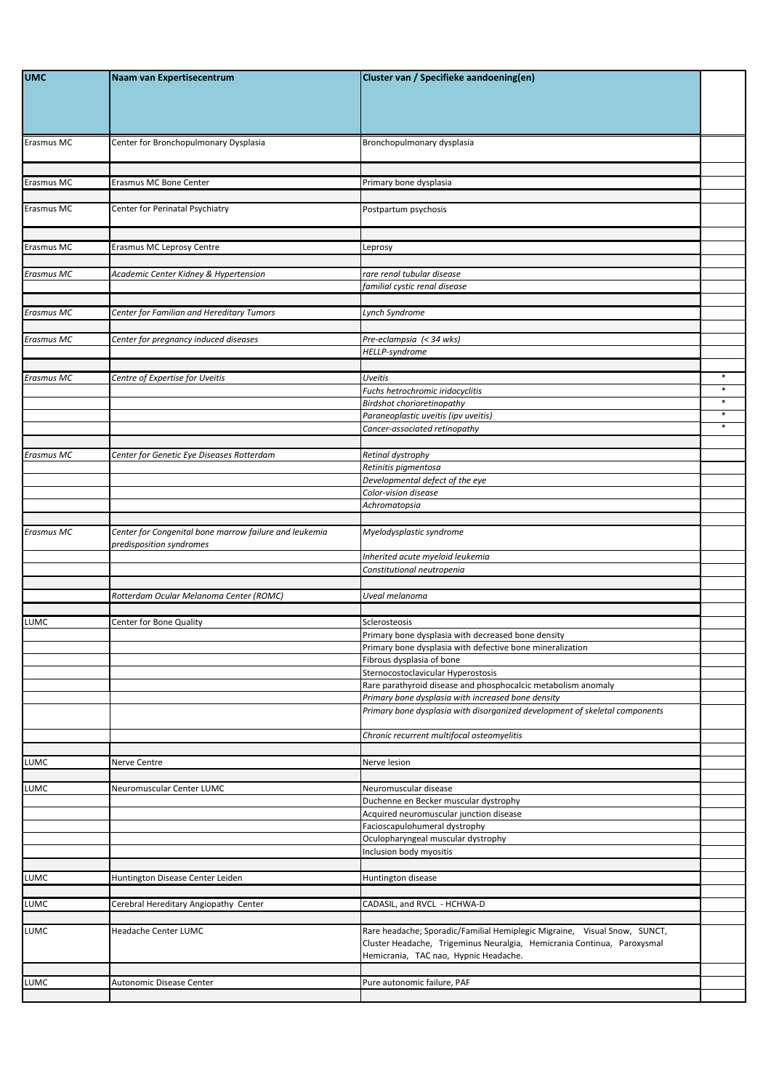| <b>UMC</b>        | Naam van Expertisecentrum                                                          | Cluster van / Specifieke aandoening(en)                                                                                                                                                       |                  |
|-------------------|------------------------------------------------------------------------------------|-----------------------------------------------------------------------------------------------------------------------------------------------------------------------------------------------|------------------|
|                   |                                                                                    |                                                                                                                                                                                               |                  |
| Erasmus MC        | Center for Bronchopulmonary Dysplasia                                              | Bronchopulmonary dysplasia                                                                                                                                                                    |                  |
|                   |                                                                                    |                                                                                                                                                                                               |                  |
| Erasmus MC        | Erasmus MC Bone Center                                                             | Primary bone dysplasia                                                                                                                                                                        |                  |
|                   |                                                                                    |                                                                                                                                                                                               |                  |
| Erasmus MC        | Center for Perinatal Psychiatry                                                    | Postpartum psychosis                                                                                                                                                                          |                  |
| Erasmus MC        | Erasmus MC Leprosy Centre                                                          | Leprosy                                                                                                                                                                                       |                  |
|                   |                                                                                    |                                                                                                                                                                                               |                  |
| <b>Erasmus MC</b> | Academic Center Kidney & Hypertension                                              | rare renal tubular disease                                                                                                                                                                    |                  |
|                   |                                                                                    | familial cystic renal disease                                                                                                                                                                 |                  |
| <b>Erasmus MC</b> | Center for Familian and Hereditary Tumors                                          | Lynch Syndrome                                                                                                                                                                                |                  |
|                   |                                                                                    |                                                                                                                                                                                               |                  |
| <b>Erasmus MC</b> | Center for pregnancy induced diseases                                              | Pre-eclampsia (< 34 wks)                                                                                                                                                                      |                  |
|                   |                                                                                    | HELLP-syndrome                                                                                                                                                                                |                  |
| <b>Erasmus MC</b> | Centre of Expertise for Uveitis                                                    | <b>Uveitis</b>                                                                                                                                                                                | $\ast$           |
|                   |                                                                                    | Fuchs hetrochromic iridocyclitis                                                                                                                                                              | $\ast$           |
|                   |                                                                                    | Birdshot chorioretinopathy                                                                                                                                                                    | $\ast$           |
|                   |                                                                                    | Paraneoplastic uveitis (ipv uveitis)                                                                                                                                                          | $\ast$<br>$\ast$ |
|                   |                                                                                    | Cancer-associated retinopathy                                                                                                                                                                 |                  |
| Erasmus MC        | Center for Genetic Eye Diseases Rotterdam                                          | Retinal dystrophy                                                                                                                                                                             |                  |
|                   |                                                                                    | Retinitis pigmentosa                                                                                                                                                                          |                  |
|                   |                                                                                    | Developmental defect of the eye                                                                                                                                                               |                  |
|                   |                                                                                    | Color-vision disease                                                                                                                                                                          |                  |
|                   |                                                                                    | Achromatopsia                                                                                                                                                                                 |                  |
| <b>Erasmus MC</b> | Center for Congenital bone marrow failure and leukemia<br>predisposition syndromes | Myelodysplastic syndrome                                                                                                                                                                      |                  |
|                   |                                                                                    | Inherited acute myeloid leukemia                                                                                                                                                              |                  |
|                   |                                                                                    | Constitutional neutropenia                                                                                                                                                                    |                  |
|                   | Rotterdam Ocular Melanoma Center (ROMC)                                            | Uveal melanoma                                                                                                                                                                                |                  |
|                   |                                                                                    |                                                                                                                                                                                               |                  |
| LUMC              | <b>Center for Bone Quality</b>                                                     | Sclerosteosis                                                                                                                                                                                 |                  |
|                   |                                                                                    | Primary bone dysplasia with decreased bone density<br>Primary bone dysplasia with defective bone mineralization                                                                               |                  |
|                   |                                                                                    | Fibrous dysplasia of bone                                                                                                                                                                     |                  |
|                   |                                                                                    | Sternocostoclavicular Hyperostosis                                                                                                                                                            |                  |
|                   |                                                                                    | Rare parathyroid disease and phosphocalcic metabolism anomaly                                                                                                                                 |                  |
|                   |                                                                                    | Primary bone dysplasia with increased bone density                                                                                                                                            |                  |
|                   |                                                                                    | Primary bone dysplasia with disorganized development of skeletal components                                                                                                                   |                  |
|                   |                                                                                    | Chronic recurrent multifocal osteomyelitis                                                                                                                                                    |                  |
| LUMC              | Nerve Centre                                                                       | Nerve lesion                                                                                                                                                                                  |                  |
|                   |                                                                                    |                                                                                                                                                                                               |                  |
| LUMC              | Neuromuscular Center LUMC                                                          | Neuromuscular disease<br>Duchenne en Becker muscular dystrophy                                                                                                                                |                  |
|                   |                                                                                    | Acquired neuromuscular junction disease                                                                                                                                                       |                  |
|                   |                                                                                    | Facioscapulohumeral dystrophy                                                                                                                                                                 |                  |
|                   |                                                                                    | Oculopharyngeal muscular dystrophy                                                                                                                                                            |                  |
|                   |                                                                                    | Inclusion body myositis                                                                                                                                                                       |                  |
| LUMC              | Huntington Disease Center Leiden                                                   | Huntington disease                                                                                                                                                                            |                  |
|                   |                                                                                    |                                                                                                                                                                                               |                  |
| LUMC              | Cerebral Hereditary Angiopathy Center                                              | CADASIL, and RVCL - HCHWA-D                                                                                                                                                                   |                  |
|                   |                                                                                    |                                                                                                                                                                                               |                  |
| LUMC              | Headache Center LUMC                                                               | Rare headache; Sporadic/Familial Hemiplegic Migraine, Visual Snow, SUNCT,<br>Cluster Headache, Trigeminus Neuralgia, Hemicrania Continua, Paroxysmal<br>Hemicrania, TAC nao, Hypnic Headache. |                  |
|                   |                                                                                    |                                                                                                                                                                                               |                  |
| LUMC              | Autonomic Disease Center                                                           | Pure autonomic failure, PAF                                                                                                                                                                   |                  |
|                   |                                                                                    |                                                                                                                                                                                               |                  |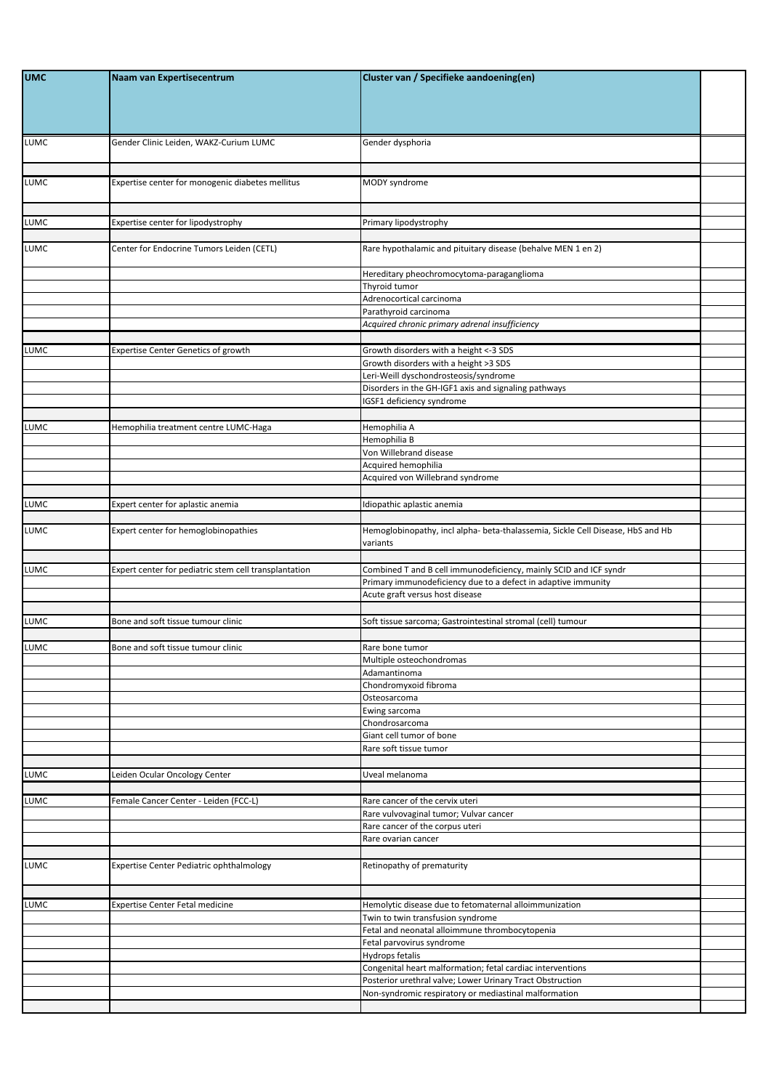| <b>UMC</b>  | Naam van Expertisecentrum                             | Cluster van / Specifieke aandoening(en)                                                     |  |
|-------------|-------------------------------------------------------|---------------------------------------------------------------------------------------------|--|
| LUMC        | Gender Clinic Leiden, WAKZ-Curium LUMC                | Gender dysphoria                                                                            |  |
| LUMC        | Expertise center for monogenic diabetes mellitus      | MODY syndrome                                                                               |  |
| <b>LUMC</b> | Expertise center for lipodystrophy                    | Primary lipodystrophy                                                                       |  |
| LUMC        | Center for Endocrine Tumors Leiden (CETL)             | Rare hypothalamic and pituitary disease (behalve MEN 1 en 2)                                |  |
|             |                                                       | Hereditary pheochromocytoma-paraganglioma                                                   |  |
|             |                                                       | Thyroid tumor<br>Adrenocortical carcinoma                                                   |  |
|             |                                                       | Parathyroid carcinoma<br>Acquired chronic primary adrenal insufficiency                     |  |
| LUMC        | <b>Expertise Center Genetics of growth</b>            | Growth disorders with a height <- 3 SDS                                                     |  |
|             |                                                       | Growth disorders with a height >3 SDS                                                       |  |
|             |                                                       | Leri-Weill dyschondrosteosis/syndrome                                                       |  |
|             |                                                       | Disorders in the GH-IGF1 axis and signaling pathways<br>IGSF1 deficiency syndrome           |  |
| LUMC        | Hemophilia treatment centre LUMC-Haga                 | Hemophilia A                                                                                |  |
|             |                                                       | Hemophilia B                                                                                |  |
|             |                                                       | Von Willebrand disease                                                                      |  |
|             |                                                       | Acquired hemophilia                                                                         |  |
|             |                                                       | Acquired von Willebrand syndrome                                                            |  |
| LUMC        | Expert center for aplastic anemia                     | Idiopathic aplastic anemia                                                                  |  |
| LUMC        | Expert center for hemoglobinopathies                  | Hemoglobinopathy, incl alpha- beta-thalassemia, Sickle Cell Disease, HbS and Hb<br>variants |  |
| LUMC        | Expert center for pediatric stem cell transplantation | Combined T and B cell immunodeficiency, mainly SCID and ICF syndr                           |  |
|             |                                                       | Primary immunodeficiency due to a defect in adaptive immunity                               |  |
|             |                                                       | Acute graft versus host disease                                                             |  |
| <b>LUMC</b> | Bone and soft tissue tumour clinic                    | Soft tissue sarcoma; Gastrointestinal stromal (cell) tumour                                 |  |
| <b>LUMC</b> | Bone and soft tissue tumour clinic                    | Rare bone tumor                                                                             |  |
|             |                                                       | Multiple osteochondromas                                                                    |  |
|             |                                                       | Adamantinoma<br>Chondromyxoid fibroma                                                       |  |
|             |                                                       | Osteosarcoma                                                                                |  |
|             |                                                       | Ewing sarcoma                                                                               |  |
|             |                                                       | Chondrosarcoma<br>Giant cell tumor of bone                                                  |  |
|             |                                                       | Rare soft tissue tumor                                                                      |  |
|             |                                                       |                                                                                             |  |
| <b>LUMC</b> | Leiden Ocular Oncology Center                         | Uveal melanoma                                                                              |  |
|             |                                                       |                                                                                             |  |
| LUMC        | Female Cancer Center - Leiden (FCC-L)                 | Rare cancer of the cervix uteri<br>Rare vulvovaginal tumor; Vulvar cancer                   |  |
|             |                                                       | Rare cancer of the corpus uteri                                                             |  |
|             |                                                       | Rare ovarian cancer                                                                         |  |
| <b>LUMC</b> | Expertise Center Pediatric ophthalmology              | Retinopathy of prematurity                                                                  |  |
|             |                                                       |                                                                                             |  |
| LUMC        | <b>Expertise Center Fetal medicine</b>                | Hemolytic disease due to fetomaternal alloimmunization                                      |  |
|             |                                                       | Twin to twin transfusion syndrome                                                           |  |
|             |                                                       | Fetal and neonatal alloimmune thrombocytopenia                                              |  |
|             |                                                       | Fetal parvovirus syndrome<br>Hydrops fetalis                                                |  |
|             |                                                       | Congenital heart malformation; fetal cardiac interventions                                  |  |
|             |                                                       | Posterior urethral valve; Lower Urinary Tract Obstruction                                   |  |
|             |                                                       | Non-syndromic respiratory or mediastinal malformation                                       |  |
|             |                                                       |                                                                                             |  |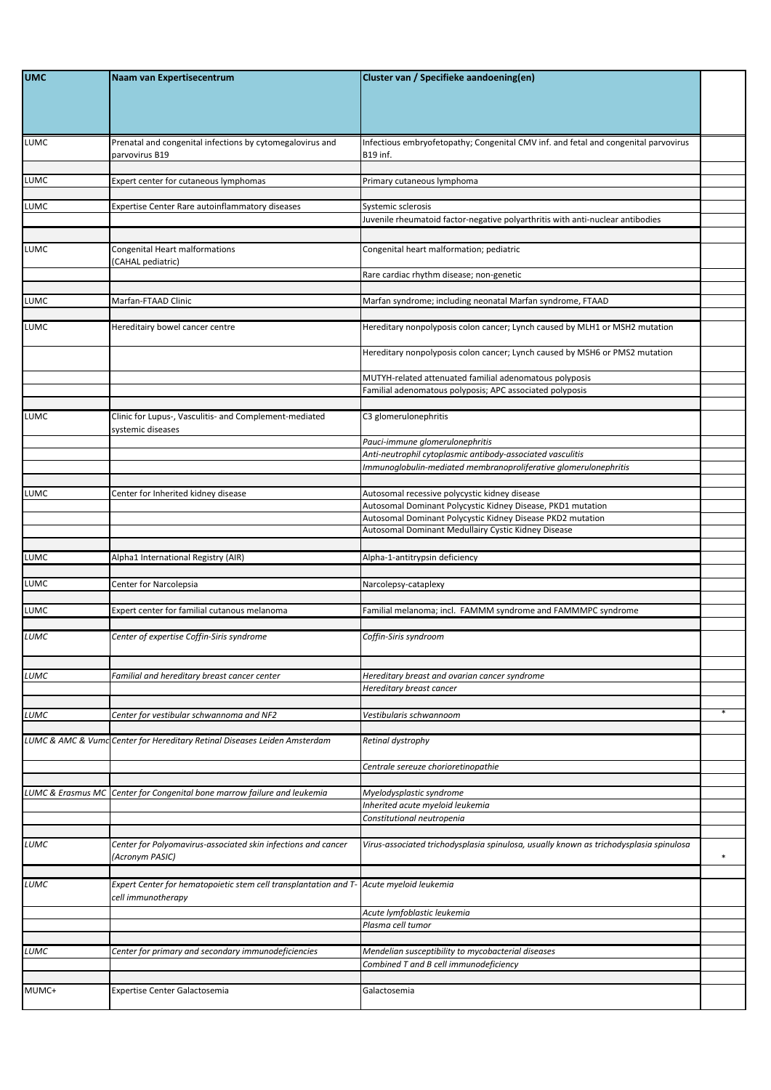| <b>UMC</b>        | Naam van Expertisecentrum                                                               | Cluster van / Specifieke aandoening(en)                                                                             |        |
|-------------------|-----------------------------------------------------------------------------------------|---------------------------------------------------------------------------------------------------------------------|--------|
| LUMC              | Prenatal and congenital infections by cytomegalovirus and<br>parvovirus B19             | Infectious embryofetopathy; Congenital CMV inf. and fetal and congenital parvovirus<br><b>B19</b> inf.              |        |
| LUMC              | Expert center for cutaneous lymphomas                                                   | Primary cutaneous lymphoma                                                                                          |        |
|                   |                                                                                         |                                                                                                                     |        |
| LUMC              | Expertise Center Rare autoinflammatory diseases                                         | Systemic sclerosis<br>Juvenile rheumatoid factor-negative polyarthritis with anti-nuclear antibodies                |        |
|                   |                                                                                         |                                                                                                                     |        |
| LUMC              | Congenital Heart malformations<br>(CAHAL pediatric)                                     | Congenital heart malformation; pediatric                                                                            |        |
|                   |                                                                                         | Rare cardiac rhythm disease; non-genetic                                                                            |        |
|                   | Marfan-FTAAD Clinic                                                                     |                                                                                                                     |        |
| LUMC              |                                                                                         | Marfan syndrome; including neonatal Marfan syndrome, FTAAD                                                          |        |
| LUMC              | Hereditairy bowel cancer centre                                                         | Hereditary nonpolyposis colon cancer; Lynch caused by MLH1 or MSH2 mutation                                         |        |
|                   |                                                                                         | Hereditary nonpolyposis colon cancer; Lynch caused by MSH6 or PMS2 mutation                                         |        |
|                   |                                                                                         | MUTYH-related attenuated familial adenomatous polyposis<br>Familial adenomatous polyposis; APC associated polyposis |        |
|                   |                                                                                         |                                                                                                                     |        |
| LUMC              | Clinic for Lupus-, Vasculitis- and Complement-mediated<br>systemic diseases             | C3 glomerulonephritis                                                                                               |        |
|                   |                                                                                         | Pauci-immune glomerulonephritis                                                                                     |        |
|                   |                                                                                         | Anti-neutrophil cytoplasmic antibody-associated vasculitis                                                          |        |
|                   |                                                                                         | Immunoglobulin-mediated membranoproliferative glomerulonephritis                                                    |        |
| LUMC              | Center for Inherited kidney disease                                                     | Autosomal recessive polycystic kidney disease                                                                       |        |
|                   |                                                                                         | Autosomal Dominant Polycystic Kidney Disease, PKD1 mutation                                                         |        |
|                   |                                                                                         | Autosomal Dominant Polycystic Kidney Disease PKD2 mutation<br>Autosomal Dominant Medullairy Cystic Kidney Disease   |        |
|                   |                                                                                         |                                                                                                                     |        |
| LUMC              | Alpha1 International Registry (AIR)                                                     | Alpha-1-antitrypsin deficiency                                                                                      |        |
|                   |                                                                                         |                                                                                                                     |        |
| LUMC              | Center for Narcolepsia                                                                  | Narcolepsy-cataplexy                                                                                                |        |
| LUMC              | Expert center for familial cutanous melanoma                                            | Familial melanoma; incl. FAMMM syndrome and FAMMMPC syndrome                                                        |        |
|                   |                                                                                         |                                                                                                                     |        |
| LUMC              | Center of expertise Coffin-Siris syndrome                                               | Coffin-Siris syndroom                                                                                               |        |
|                   |                                                                                         |                                                                                                                     |        |
| LUMC              | Familial and hereditary breast cancer center                                            | Hereditary breast and ovarian cancer syndrome<br>Hereditary breast cancer                                           |        |
| LUMC              | Center for vestibular schwannoma and NF2                                                | Vestibularis schwannoom                                                                                             |        |
|                   |                                                                                         |                                                                                                                     |        |
|                   | LUMC & AMC & Vumc Center for Hereditary Retinal Diseases Leiden Amsterdam               | Retinal dystrophy                                                                                                   |        |
|                   |                                                                                         | Centrale sereuze chorioretinopathie                                                                                 |        |
| LUMC & Erasmus MC | Center for Congenital bone marrow failure and leukemia                                  | Myelodysplastic syndrome                                                                                            |        |
|                   |                                                                                         | Inherited acute myeloid leukemia                                                                                    |        |
|                   |                                                                                         | Constitutional neutropenia                                                                                          |        |
| LUMC              | Center for Polyomavirus-associated skin infections and cancer                           | Virus-associated trichodysplasia spinulosa, usually known as trichodysplasia spinulosa                              |        |
|                   | (Acronym PASIC)                                                                         |                                                                                                                     | $\ast$ |
| LUMC              | Expert Center for hematopoietic stem cell transplantation and T- Acute myeloid leukemia |                                                                                                                     |        |
|                   | cell immunotherapy                                                                      |                                                                                                                     |        |
|                   |                                                                                         | Acute lymfoblastic leukemia                                                                                         |        |
|                   |                                                                                         | Plasma cell tumor                                                                                                   |        |
| LUMC              | Center for primary and secondary immunodeficiencies                                     | Mendelian susceptibility to mycobacterial diseases                                                                  |        |
|                   |                                                                                         | Combined T and B cell immunodeficiency                                                                              |        |
|                   |                                                                                         |                                                                                                                     |        |
| MUMC+             | Expertise Center Galactosemia                                                           | Galactosemia                                                                                                        |        |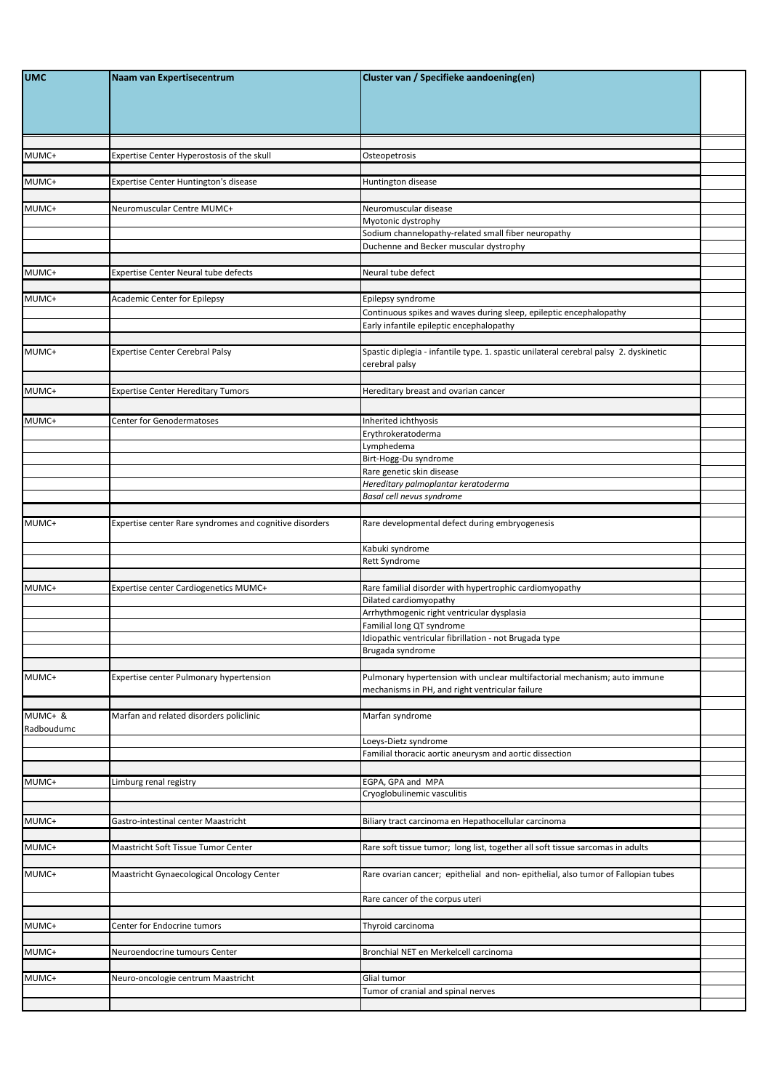| <b>UMC</b>            | Naam van Expertisecentrum                               | Cluster van / Specifieke aandoening(en)                                                                        |  |
|-----------------------|---------------------------------------------------------|----------------------------------------------------------------------------------------------------------------|--|
| MUMC+                 | Expertise Center Hyperostosis of the skull              | Osteopetrosis                                                                                                  |  |
|                       |                                                         |                                                                                                                |  |
| MUMC+                 | Expertise Center Huntington's disease                   | Huntington disease                                                                                             |  |
| MUMC+                 | Neuromuscular Centre MUMC+                              | Neuromuscular disease                                                                                          |  |
|                       |                                                         | Myotonic dystrophy<br>Sodium channelopathy-related small fiber neuropathy                                      |  |
|                       |                                                         | Duchenne and Becker muscular dystrophy                                                                         |  |
| MUMC+                 | <b>Expertise Center Neural tube defects</b>             | Neural tube defect                                                                                             |  |
|                       |                                                         |                                                                                                                |  |
| MUMC+                 | <b>Academic Center for Epilepsy</b>                     | Epilepsy syndrome                                                                                              |  |
|                       |                                                         | Continuous spikes and waves during sleep, epileptic encephalopathy<br>Early infantile epileptic encephalopathy |  |
|                       |                                                         |                                                                                                                |  |
| MUMC+                 | <b>Expertise Center Cerebral Palsy</b>                  | Spastic diplegia - infantile type. 1. spastic unilateral cerebral palsy 2. dyskinetic<br>cerebral palsy        |  |
| MUMC+                 | <b>Expertise Center Hereditary Tumors</b>               | Hereditary breast and ovarian cancer                                                                           |  |
|                       |                                                         |                                                                                                                |  |
| MUMC+                 | <b>Center for Genodermatoses</b>                        | Inherited ichthyosis                                                                                           |  |
|                       |                                                         | Erythrokeratoderma<br>Lymphedema                                                                               |  |
|                       |                                                         | Birt-Hogg-Du syndrome                                                                                          |  |
|                       |                                                         | Rare genetic skin disease<br>Hereditary palmoplantar keratoderma                                               |  |
|                       |                                                         | Basal cell nevus syndrome                                                                                      |  |
|                       |                                                         |                                                                                                                |  |
| MUMC+                 | Expertise center Rare syndromes and cognitive disorders | Rare developmental defect during embryogenesis<br>Kabuki syndrome                                              |  |
|                       |                                                         | Rett Syndrome                                                                                                  |  |
|                       |                                                         |                                                                                                                |  |
| MUMC+                 | Expertise center Cardiogenetics MUMC+                   | Rare familial disorder with hypertrophic cardiomyopathy<br>Dilated cardiomyopathy                              |  |
|                       |                                                         | Arrhythmogenic right ventricular dysplasia                                                                     |  |
|                       |                                                         | Familial long QT syndrome<br>Idiopathic ventricular fibrillation - not Brugada type                            |  |
|                       |                                                         | Brugada syndrome                                                                                               |  |
| MUMC+                 | Expertise center Pulmonary hypertension                 | Pulmonary hypertension with unclear multifactorial mechanism; auto immune                                      |  |
|                       |                                                         | mechanisms in PH, and right ventricular failure                                                                |  |
| MUMC+ &<br>Radboudumc | Marfan and related disorders policlinic                 | Marfan syndrome                                                                                                |  |
|                       |                                                         | Loeys-Dietz syndrome<br>Familial thoracic aortic aneurysm and aortic dissection                                |  |
|                       |                                                         |                                                                                                                |  |
| MUMC+                 | Limburg renal registry                                  | EGPA, GPA and MPA<br>Cryoglobulinemic vasculitis                                                               |  |
|                       |                                                         |                                                                                                                |  |
| MUMC+                 | Gastro-intestinal center Maastricht                     | Biliary tract carcinoma en Hepathocellular carcinoma                                                           |  |
| MUMC+                 | Maastricht Soft Tissue Tumor Center                     | Rare soft tissue tumor; long list, together all soft tissue sarcomas in adults                                 |  |
| MUMC+                 | Maastricht Gynaecological Oncology Center               | Rare ovarian cancer; epithelial and non-epithelial, also tumor of Fallopian tubes                              |  |
|                       |                                                         | Rare cancer of the corpus uteri                                                                                |  |
|                       |                                                         |                                                                                                                |  |
| MUMC+                 | Center for Endocrine tumors                             | Thyroid carcinoma                                                                                              |  |
| MUMC+                 | Neuroendocrine tumours Center                           | Bronchial NET en Merkelcell carcinoma                                                                          |  |
| MUMC+                 | Neuro-oncologie centrum Maastricht                      | Glial tumor                                                                                                    |  |
|                       |                                                         | Tumor of cranial and spinal nerves                                                                             |  |
|                       |                                                         |                                                                                                                |  |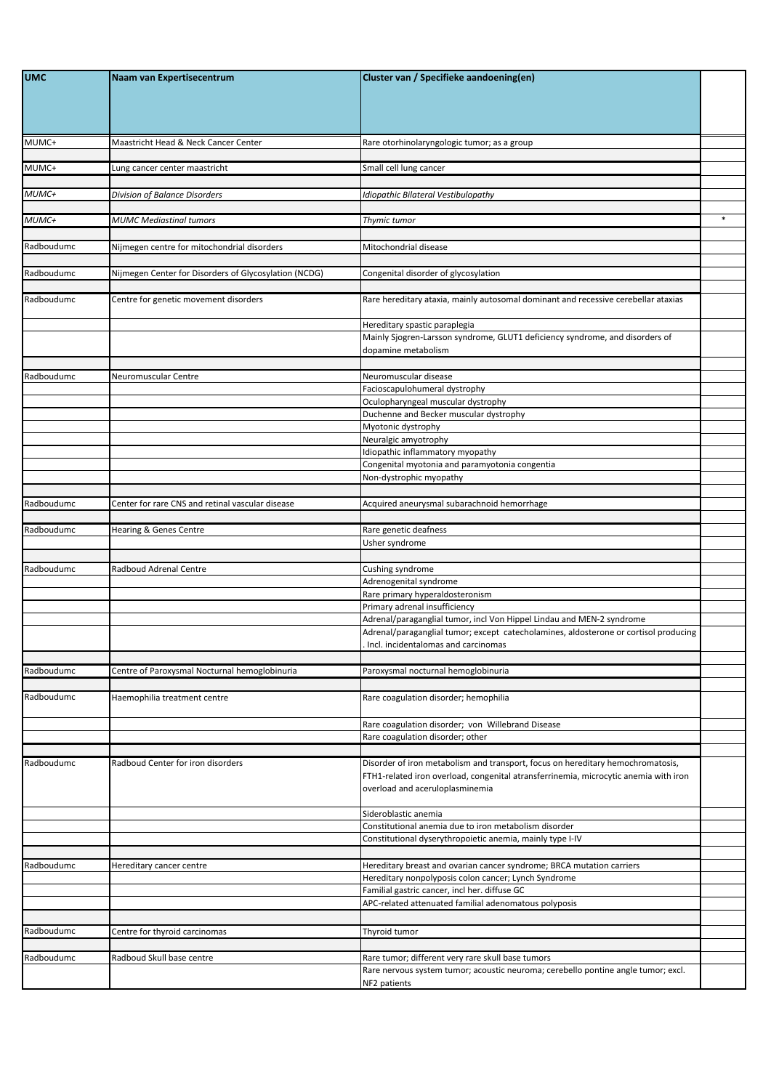| <b>UMC</b> | Naam van Expertisecentrum                             | Cluster van / Specifieke aandoening(en)                                                                                                                                                                    |        |
|------------|-------------------------------------------------------|------------------------------------------------------------------------------------------------------------------------------------------------------------------------------------------------------------|--------|
|            |                                                       |                                                                                                                                                                                                            |        |
| MUMC+      | Maastricht Head & Neck Cancer Center                  | Rare otorhinolaryngologic tumor; as a group                                                                                                                                                                |        |
| MUMC+      | Lung cancer center maastricht                         | Small cell lung cancer                                                                                                                                                                                     |        |
| MUMC+      | Division of Balance Disorders                         | Idiopathic Bilateral Vestibulopathy                                                                                                                                                                        |        |
| MUMC+      | <b>MUMC Mediastinal tumors</b>                        | Thymic tumor                                                                                                                                                                                               | $\ast$ |
| Radboudumc | Nijmegen centre for mitochondrial disorders           | Mitochondrial disease                                                                                                                                                                                      |        |
| Radboudumc | Vijmegen Center for Disorders of Glycosylation (NCDG) | Congenital disorder of glycosylation                                                                                                                                                                       |        |
| Radboudumc | Centre for genetic movement disorders                 | Rare hereditary ataxia, mainly autosomal dominant and recessive cerebellar ataxias                                                                                                                         |        |
|            |                                                       | Hereditary spastic paraplegia<br>Mainly Sjogren-Larsson syndrome, GLUT1 deficiency syndrome, and disorders of                                                                                              |        |
|            |                                                       | dopamine metabolism                                                                                                                                                                                        |        |
| Radboudumc | Neuromuscular Centre                                  | Neuromuscular disease                                                                                                                                                                                      |        |
|            |                                                       | Facioscapulohumeral dystrophy<br>Oculopharyngeal muscular dystrophy                                                                                                                                        |        |
|            |                                                       | Duchenne and Becker muscular dystrophy                                                                                                                                                                     |        |
|            |                                                       | Myotonic dystrophy                                                                                                                                                                                         |        |
|            |                                                       | Neuralgic amyotrophy<br>Idiopathic inflammatory myopathy                                                                                                                                                   |        |
|            |                                                       | Congenital myotonia and paramyotonia congentia                                                                                                                                                             |        |
|            |                                                       | Non-dystrophic myopathy                                                                                                                                                                                    |        |
| Radboudumc | Center for rare CNS and retinal vascular disease      | Acquired aneurysmal subarachnoid hemorrhage                                                                                                                                                                |        |
|            |                                                       |                                                                                                                                                                                                            |        |
| Radboudumc | Hearing & Genes Centre                                | Rare genetic deafness<br>Usher syndrome                                                                                                                                                                    |        |
|            |                                                       |                                                                                                                                                                                                            |        |
| Radboudumc | Radboud Adrenal Centre                                | Cushing syndrome                                                                                                                                                                                           |        |
|            |                                                       | Adrenogenital syndrome<br>Rare primary hyperaldosteronism                                                                                                                                                  |        |
|            |                                                       | Primary adrenal insufficiency                                                                                                                                                                              |        |
|            |                                                       | Adrenal/paraganglial tumor, incl Von Hippel Lindau and MEN-2 syndrome                                                                                                                                      |        |
|            |                                                       | Adrenal/paraganglial tumor; except catecholamines, aldosterone or cortisol producing<br>Incl. incidentalomas and carcinomas                                                                                |        |
| Radboudumc | Centre of Paroxysmal Nocturnal hemoglobinuria         | Paroxysmal nocturnal hemoglobinuria                                                                                                                                                                        |        |
|            |                                                       |                                                                                                                                                                                                            |        |
| Radboudumc | Haemophilia treatment centre                          | Rare coagulation disorder; hemophilia                                                                                                                                                                      |        |
|            |                                                       | Rare coagulation disorder; von Willebrand Disease<br>Rare coagulation disorder; other                                                                                                                      |        |
|            |                                                       |                                                                                                                                                                                                            |        |
| Radboudumc | Radboud Center for iron disorders                     | Disorder of iron metabolism and transport, focus on hereditary hemochromatosis,<br>FTH1-related iron overload, congenital atransferrinemia, microcytic anemia with iron<br>overload and aceruloplasminemia |        |
|            |                                                       | Sideroblastic anemia                                                                                                                                                                                       |        |
|            |                                                       | Constitutional anemia due to iron metabolism disorder<br>Constitutional dyserythropoietic anemia, mainly type I-IV                                                                                         |        |
|            |                                                       |                                                                                                                                                                                                            |        |
| Radboudumc | Hereditary cancer centre                              | Hereditary breast and ovarian cancer syndrome; BRCA mutation carriers<br>Hereditary nonpolyposis colon cancer; Lynch Syndrome                                                                              |        |
|            |                                                       | Familial gastric cancer, incl her. diffuse GC                                                                                                                                                              |        |
|            |                                                       | APC-related attenuated familial adenomatous polyposis                                                                                                                                                      |        |
| Radboudumc | Centre for thyroid carcinomas                         | Thyroid tumor                                                                                                                                                                                              |        |
|            |                                                       |                                                                                                                                                                                                            |        |
| Radboudumc | Radboud Skull base centre                             | Rare tumor; different very rare skull base tumors                                                                                                                                                          |        |
|            |                                                       | Rare nervous system tumor; acoustic neuroma; cerebello pontine angle tumor; excl.<br>NF2 patients                                                                                                          |        |
|            |                                                       |                                                                                                                                                                                                            |        |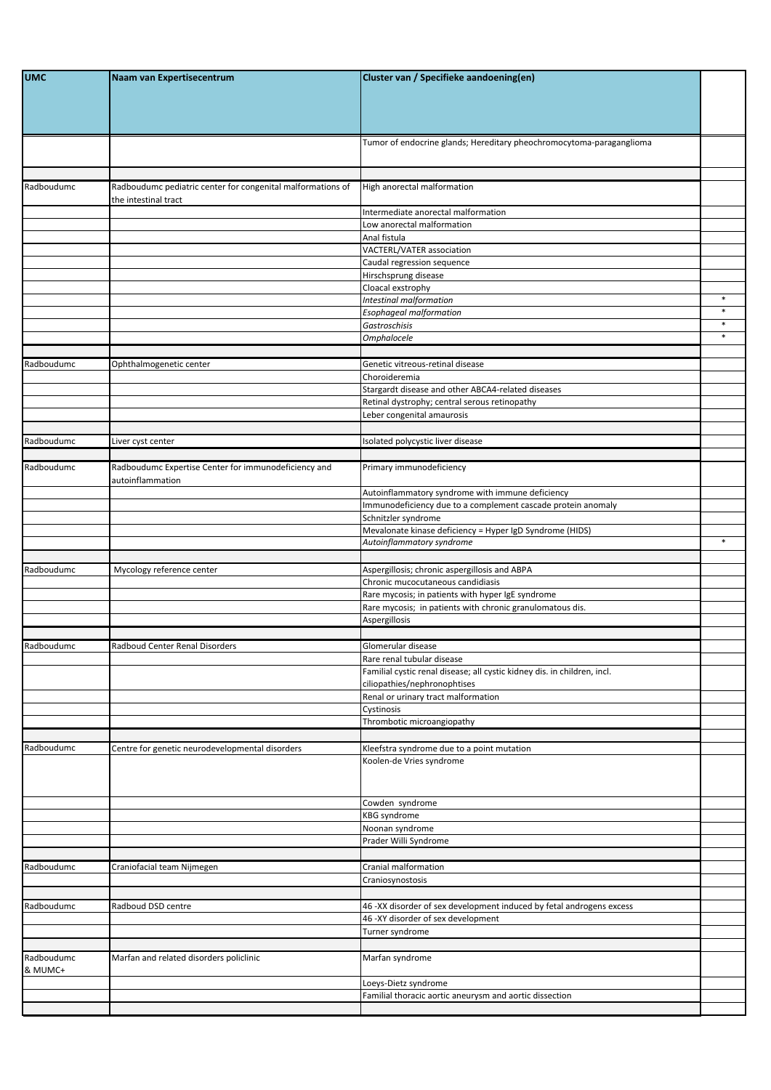| <b>UMC</b>            | Naam van Expertisecentrum                                                           | Cluster van / Specifieke aandoening(en)                                                                        |        |
|-----------------------|-------------------------------------------------------------------------------------|----------------------------------------------------------------------------------------------------------------|--------|
|                       |                                                                                     | Tumor of endocrine glands; Hereditary pheochromocytoma-paraganglioma                                           |        |
| Radboudumc            | Radboudumc pediatric center for congenital malformations of<br>the intestinal tract | High anorectal malformation                                                                                    |        |
|                       |                                                                                     | Intermediate anorectal malformation                                                                            |        |
|                       |                                                                                     | Low anorectal malformation<br>Anal fistula                                                                     |        |
|                       |                                                                                     | VACTERL/VATER association                                                                                      |        |
|                       |                                                                                     | Caudal regression sequence                                                                                     |        |
|                       |                                                                                     | Hirschsprung disease                                                                                           |        |
|                       |                                                                                     | Cloacal exstrophy<br>Intestinal malformation                                                                   | $\ast$ |
|                       |                                                                                     | <b>Esophageal malformation</b>                                                                                 | $\ast$ |
|                       |                                                                                     | Gastroschisis                                                                                                  | $\ast$ |
|                       |                                                                                     | <b>Omphalocele</b>                                                                                             | $\ast$ |
| Radboudumc            | Ophthalmogenetic center                                                             | Genetic vitreous-retinal disease                                                                               |        |
|                       |                                                                                     | Choroideremia                                                                                                  |        |
|                       |                                                                                     | Stargardt disease and other ABCA4-related diseases                                                             |        |
|                       |                                                                                     | Retinal dystrophy; central serous retinopathy                                                                  |        |
|                       |                                                                                     | Leber congenital amaurosis                                                                                     |        |
| Radboudumc            | Liver cyst center                                                                   | Isolated polycystic liver disease                                                                              |        |
|                       |                                                                                     |                                                                                                                |        |
| Radboudumc            | Radboudumc Expertise Center for immunodeficiency and<br>autoinflammation            | Primary immunodeficiency                                                                                       |        |
|                       |                                                                                     | Autoinflammatory syndrome with immune deficiency                                                               |        |
|                       |                                                                                     | Immunodeficiency due to a complement cascade protein anomaly                                                   |        |
|                       |                                                                                     | Schnitzler syndrome<br>Mevalonate kinase deficiency = Hyper IgD Syndrome (HIDS)                                |        |
|                       |                                                                                     | Autoinflammatory syndrome                                                                                      | $\ast$ |
|                       |                                                                                     |                                                                                                                |        |
| Radboudumc            | Mycology reference center                                                           | Aspergillosis; chronic aspergillosis and ABPA                                                                  |        |
|                       |                                                                                     | Chronic mucocutaneous candidiasis                                                                              |        |
|                       |                                                                                     | Rare mycosis; in patients with hyper IgE syndrome<br>Rare mycosis; in patients with chronic granulomatous dis. |        |
|                       |                                                                                     | Aspergillosis                                                                                                  |        |
|                       |                                                                                     |                                                                                                                |        |
| Radboudumc            | Radboud Center Renal Disorders                                                      | Glomerular disease                                                                                             |        |
|                       |                                                                                     | Rare renal tubular disease                                                                                     |        |
|                       |                                                                                     | Familial cystic renal disease; all cystic kidney dis. in children, incl.<br>ciliopathies/nephronophtises       |        |
|                       |                                                                                     | Renal or urinary tract malformation                                                                            |        |
|                       |                                                                                     | Cystinosis                                                                                                     |        |
|                       |                                                                                     | Thrombotic microangiopathy                                                                                     |        |
| Radboudumc            | Centre for genetic neurodevelopmental disorders                                     | Kleefstra syndrome due to a point mutation                                                                     |        |
|                       |                                                                                     | Koolen-de Vries syndrome                                                                                       |        |
|                       |                                                                                     | Cowden syndrome                                                                                                |        |
|                       |                                                                                     | <b>KBG</b> syndrome                                                                                            |        |
|                       |                                                                                     | Noonan syndrome<br>Prader Willi Syndrome                                                                       |        |
|                       |                                                                                     |                                                                                                                |        |
| Radboudumc            | Craniofacial team Nijmegen                                                          | Cranial malformation                                                                                           |        |
|                       |                                                                                     | Craniosynostosis                                                                                               |        |
|                       |                                                                                     |                                                                                                                |        |
| Radboudumc            | Radboud DSD centre                                                                  | 46 -XX disorder of sex development induced by fetal androgens excess                                           |        |
|                       |                                                                                     | 46 -XY disorder of sex development                                                                             |        |
|                       |                                                                                     | Turner syndrome                                                                                                |        |
| Radboudumc<br>& MUMC+ | Marfan and related disorders policlinic                                             | Marfan syndrome                                                                                                |        |
|                       |                                                                                     | Loeys-Dietz syndrome                                                                                           |        |
|                       |                                                                                     | Familial thoracic aortic aneurysm and aortic dissection                                                        |        |
|                       |                                                                                     |                                                                                                                |        |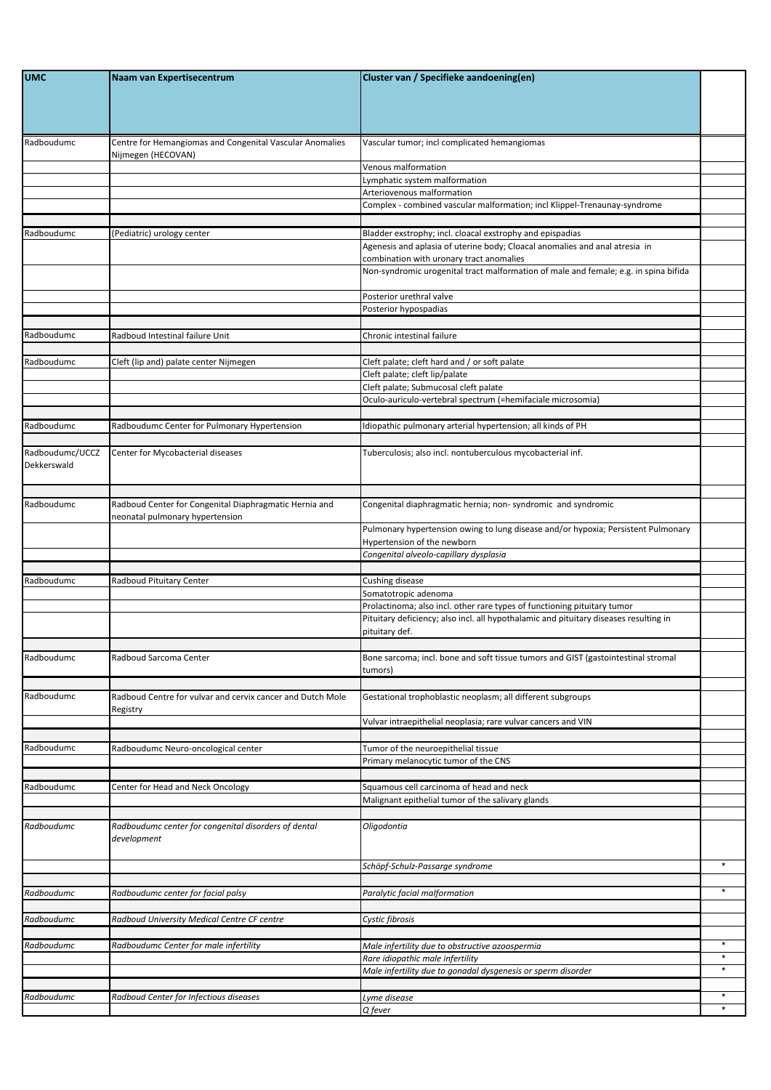| <b>UMC</b>      | Naam van Expertisecentrum                                  | Cluster van / Specifieke aandoening(en)                                                                                          |        |
|-----------------|------------------------------------------------------------|----------------------------------------------------------------------------------------------------------------------------------|--------|
|                 |                                                            |                                                                                                                                  |        |
|                 |                                                            |                                                                                                                                  |        |
|                 |                                                            |                                                                                                                                  |        |
| Radboudumc      | Centre for Hemangiomas and Congenital Vascular Anomalies   | Vascular tumor; incl complicated hemangiomas                                                                                     |        |
|                 | Nijmegen (HECOVAN)                                         |                                                                                                                                  |        |
|                 |                                                            | Venous malformation<br>Lymphatic system malformation                                                                             |        |
|                 |                                                            | Arteriovenous malformation                                                                                                       |        |
|                 |                                                            | Complex - combined vascular malformation; incl Klippel-Trenaunay-syndrome                                                        |        |
|                 |                                                            |                                                                                                                                  |        |
| Radboudumc      | Pediatric) urology center                                  | Bladder exstrophy; incl. cloacal exstrophy and epispadias                                                                        |        |
|                 |                                                            | Agenesis and aplasia of uterine body; Cloacal anomalies and anal atresia in                                                      |        |
|                 |                                                            | combination with uronary tract anomalies<br>Non-syndromic urogenital tract malformation of male and female; e.g. in spina bifida |        |
|                 |                                                            |                                                                                                                                  |        |
|                 |                                                            | Posterior urethral valve                                                                                                         |        |
|                 |                                                            | Posterior hypospadias                                                                                                            |        |
|                 |                                                            |                                                                                                                                  |        |
| Radboudumc      | Radboud Intestinal failure Unit                            | Chronic intestinal failure                                                                                                       |        |
| Radboudumc      | Cleft (lip and) palate center Nijmegen                     | Cleft palate; cleft hard and / or soft palate                                                                                    |        |
|                 |                                                            | Cleft palate; cleft lip/palate                                                                                                   |        |
|                 |                                                            | Cleft palate; Submucosal cleft palate                                                                                            |        |
|                 |                                                            | Oculo-auriculo-vertebral spectrum (=hemifaciale microsomia)                                                                      |        |
|                 |                                                            |                                                                                                                                  |        |
| Radboudumc      | Radboudumc Center for Pulmonary Hypertension               | Idiopathic pulmonary arterial hypertension; all kinds of PH                                                                      |        |
| Radboudumc/UCCZ | Center for Mycobacterial diseases                          | Tuberculosis; also incl. nontuberculous mycobacterial inf.                                                                       |        |
| Dekkerswald     |                                                            |                                                                                                                                  |        |
|                 |                                                            |                                                                                                                                  |        |
|                 |                                                            |                                                                                                                                  |        |
| Radboudumc      | Radboud Center for Congenital Diaphragmatic Hernia and     | Congenital diaphragmatic hernia; non-syndromic and syndromic                                                                     |        |
|                 | neonatal pulmonary hypertension                            | Pulmonary hypertension owing to lung disease and/or hypoxia; Persistent Pulmonary                                                |        |
|                 |                                                            | Hypertension of the newborn                                                                                                      |        |
|                 |                                                            | Congenital alveolo-capillary dysplasia                                                                                           |        |
|                 |                                                            |                                                                                                                                  |        |
| Radboudumc      | Radboud Pituitary Center                                   | Cushing disease<br>Somatotropic adenoma                                                                                          |        |
|                 |                                                            | Prolactinoma; also incl. other rare types of functioning pituitary tumor                                                         |        |
|                 |                                                            | Pituitary deficiency; also incl. all hypothalamic and pituitary diseases resulting in                                            |        |
|                 |                                                            | pituitary def.                                                                                                                   |        |
|                 |                                                            |                                                                                                                                  |        |
| Radboudumc      | Radboud Sarcoma Center                                     | Bone sarcoma; incl. bone and soft tissue tumors and GIST (gastointestinal stromal                                                |        |
|                 |                                                            | tumors)                                                                                                                          |        |
| Radboudumc      | Radboud Centre for vulvar and cervix cancer and Dutch Mole | Gestational trophoblastic neoplasm; all different subgroups                                                                      |        |
|                 | Registry                                                   |                                                                                                                                  |        |
|                 |                                                            | Vulvar intraepithelial neoplasia; rare vulvar cancers and VIN                                                                    |        |
|                 |                                                            |                                                                                                                                  |        |
| Radboudumc      | Radboudumc Neuro-oncological center                        | Tumor of the neuroepithelial tissue<br>Primary melanocytic tumor of the CNS                                                      |        |
|                 |                                                            |                                                                                                                                  |        |
| Radboudumc      | Center for Head and Neck Oncology                          | Squamous cell carcinoma of head and neck                                                                                         |        |
|                 |                                                            | Malignant epithelial tumor of the salivary glands                                                                                |        |
|                 |                                                            |                                                                                                                                  |        |
| Radboudumc      | Radboudumc center for congenital disorders of dental       | Oligodontia                                                                                                                      |        |
|                 | development                                                |                                                                                                                                  |        |
|                 |                                                            | Schöpf-Schulz-Passarge syndrome                                                                                                  | $\ast$ |
|                 |                                                            |                                                                                                                                  |        |
| Radboudumc      | Radboudumc center for facial palsy                         | Paralytic facial malformation                                                                                                    | $\ast$ |
|                 |                                                            |                                                                                                                                  |        |
| Radboudumc      | Radboud University Medical Centre CF centre                | Cystic fibrosis                                                                                                                  |        |
|                 |                                                            |                                                                                                                                  | $\ast$ |
| Radboudumc      | Radboudumc Center for male infertility                     | Male infertility due to obstructive azoospermia<br>Rare idiopathic male infertility                                              | *      |
|                 |                                                            | Male infertility due to gonadal dysgenesis or sperm disorder                                                                     |        |
|                 |                                                            |                                                                                                                                  |        |
| Radboudumc      | Radboud Center for Infectious diseases                     | Lyme disease                                                                                                                     | *      |
|                 |                                                            | Q fever                                                                                                                          | $\ast$ |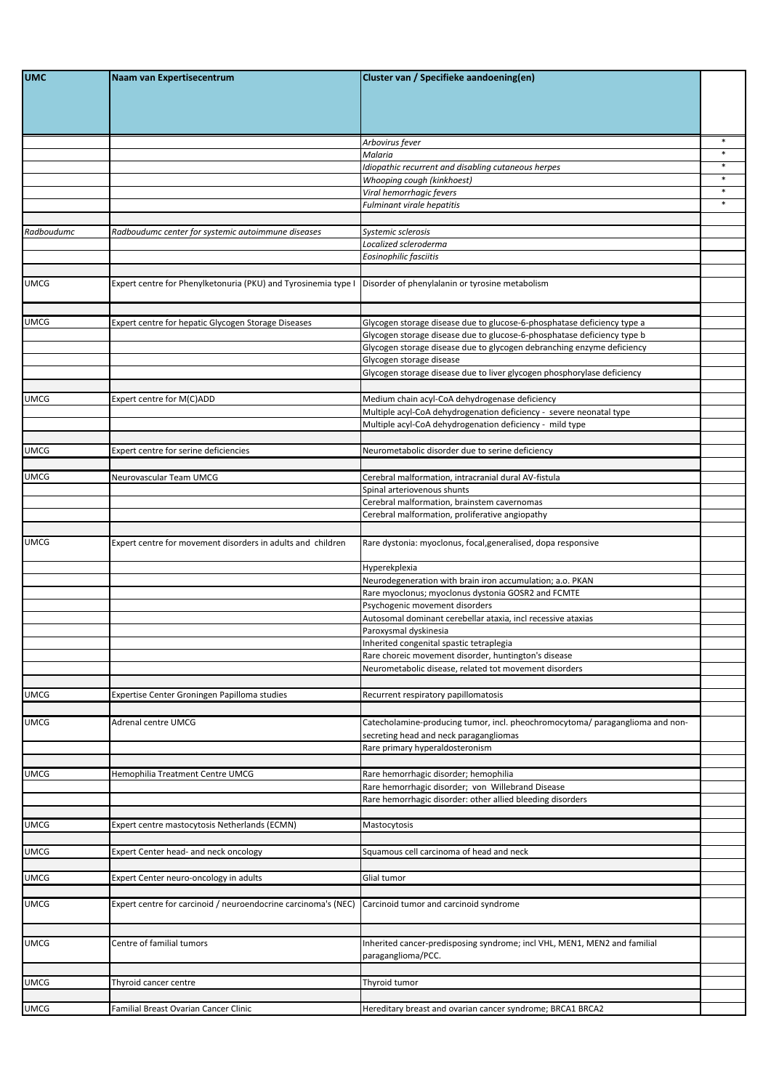| <b>UMC</b>  | Naam van Expertisecentrum                                      | Cluster van / Specifieke aandoening(en)                                                                                                            |        |
|-------------|----------------------------------------------------------------|----------------------------------------------------------------------------------------------------------------------------------------------------|--------|
|             |                                                                |                                                                                                                                                    |        |
|             |                                                                |                                                                                                                                                    |        |
|             |                                                                |                                                                                                                                                    |        |
|             |                                                                | Arbovirus fever                                                                                                                                    | $\ast$ |
|             |                                                                | Malaria<br>Idiopathic recurrent and disabling cutaneous herpes                                                                                     |        |
|             |                                                                | Whooping cough (kinkhoest)                                                                                                                         |        |
|             |                                                                | Viral hemorrhagic fevers                                                                                                                           | $\ast$ |
|             |                                                                | <b>Fulminant virale hepatitis</b>                                                                                                                  | $\ast$ |
|             |                                                                |                                                                                                                                                    |        |
| Radboudumc  | Radboudumc center for systemic autoimmune diseases             | Systemic sclerosis<br>Localized scleroderma                                                                                                        |        |
|             |                                                                | Eosinophilic fasciitis                                                                                                                             |        |
|             |                                                                |                                                                                                                                                    |        |
| <b>UMCG</b> | Expert centre for Phenylketonuria (PKU) and Tyrosinemia type I | Disorder of phenylalanin or tyrosine metabolism                                                                                                    |        |
|             |                                                                |                                                                                                                                                    |        |
|             |                                                                |                                                                                                                                                    |        |
| <b>UMCG</b> | Expert centre for hepatic Glycogen Storage Diseases            | Glycogen storage disease due to glucose-6-phosphatase deficiency type a<br>Glycogen storage disease due to glucose-6-phosphatase deficiency type b |        |
|             |                                                                | Glycogen storage disease due to glycogen debranching enzyme deficiency                                                                             |        |
|             |                                                                | Glycogen storage disease                                                                                                                           |        |
|             |                                                                | Glycogen storage disease due to liver glycogen phosphorylase deficiency                                                                            |        |
|             |                                                                |                                                                                                                                                    |        |
| <b>UMCG</b> | Expert centre for M(C)ADD                                      | Medium chain acyl-CoA dehydrogenase deficiency<br>Multiple acyl-CoA dehydrogenation deficiency - severe neonatal type                              |        |
|             |                                                                | Multiple acyl-CoA dehydrogenation deficiency - mild type                                                                                           |        |
|             |                                                                |                                                                                                                                                    |        |
| <b>UMCG</b> | Expert centre for serine deficiencies                          | Neurometabolic disorder due to serine deficiency                                                                                                   |        |
|             |                                                                |                                                                                                                                                    |        |
| <b>UMCG</b> | Neurovascular Team UMCG                                        | Cerebral malformation, intracranial dural AV-fistula                                                                                               |        |
|             |                                                                | Spinal arteriovenous shunts<br>Cerebral malformation, brainstem cavernomas                                                                         |        |
|             |                                                                | Cerebral malformation, proliferative angiopathy                                                                                                    |        |
|             |                                                                |                                                                                                                                                    |        |
| <b>UMCG</b> | Expert centre for movement disorders in adults and children    | Rare dystonia: myoclonus, focal, generalised, dopa responsive                                                                                      |        |
|             |                                                                |                                                                                                                                                    |        |
|             |                                                                | Hyperekplexia<br>Neurodegeneration with brain iron accumulation; a.o. PKAN                                                                         |        |
|             |                                                                | Rare myoclonus; myoclonus dystonia GOSR2 and FCMTE                                                                                                 |        |
|             |                                                                | Psychogenic movement disorders                                                                                                                     |        |
|             |                                                                | Autosomal dominant cerebellar ataxia, incl recessive ataxias                                                                                       |        |
|             |                                                                | Paroxysmal dyskinesia                                                                                                                              |        |
|             |                                                                | Inherited congenital spastic tetraplegia<br>Rare choreic movement disorder, huntington's disease                                                   |        |
|             |                                                                | Neurometabolic disease, related tot movement disorders                                                                                             |        |
|             |                                                                |                                                                                                                                                    |        |
| <b>UMCG</b> | Expertise Center Groningen Papilloma studies                   | Recurrent respiratory papillomatosis                                                                                                               |        |
|             |                                                                |                                                                                                                                                    |        |
| <b>UMCG</b> | Adrenal centre UMCG                                            | Catecholamine-producing tumor, incl. pheochromocytoma/ paraganglioma and non-                                                                      |        |
|             |                                                                | secreting head and neck paragangliomas<br>Rare primary hyperaldosteronism                                                                          |        |
|             |                                                                |                                                                                                                                                    |        |
| <b>UMCG</b> | Hemophilia Treatment Centre UMCG                               | Rare hemorrhagic disorder; hemophilia                                                                                                              |        |
|             |                                                                | Rare hemorrhagic disorder; von Willebrand Disease                                                                                                  |        |
|             |                                                                | Rare hemorrhagic disorder: other allied bleeding disorders                                                                                         |        |
|             |                                                                |                                                                                                                                                    |        |
| <b>UMCG</b> | Expert centre mastocytosis Netherlands (ECMN)                  | Mastocytosis                                                                                                                                       |        |
| <b>UMCG</b> | Expert Center head- and neck oncology                          | Squamous cell carcinoma of head and neck                                                                                                           |        |
|             |                                                                |                                                                                                                                                    |        |
| <b>UMCG</b> | Expert Center neuro-oncology in adults                         | Glial tumor                                                                                                                                        |        |
|             |                                                                |                                                                                                                                                    |        |
| <b>UMCG</b> | Expert centre for carcinoid / neuroendocrine carcinoma's (NEC) | Carcinoid tumor and carcinoid syndrome                                                                                                             |        |
|             |                                                                |                                                                                                                                                    |        |
| <b>UMCG</b> | Centre of familial tumors                                      | Inherited cancer-predisposing syndrome; incl VHL, MEN1, MEN2 and familial                                                                          |        |
|             |                                                                | paraganglioma/PCC.                                                                                                                                 |        |
|             |                                                                |                                                                                                                                                    |        |
| <b>UMCG</b> | Thyroid cancer centre                                          | Thyroid tumor                                                                                                                                      |        |
|             |                                                                |                                                                                                                                                    |        |
| <b>UMCG</b> | Familial Breast Ovarian Cancer Clinic                          | Hereditary breast and ovarian cancer syndrome; BRCA1 BRCA2                                                                                         |        |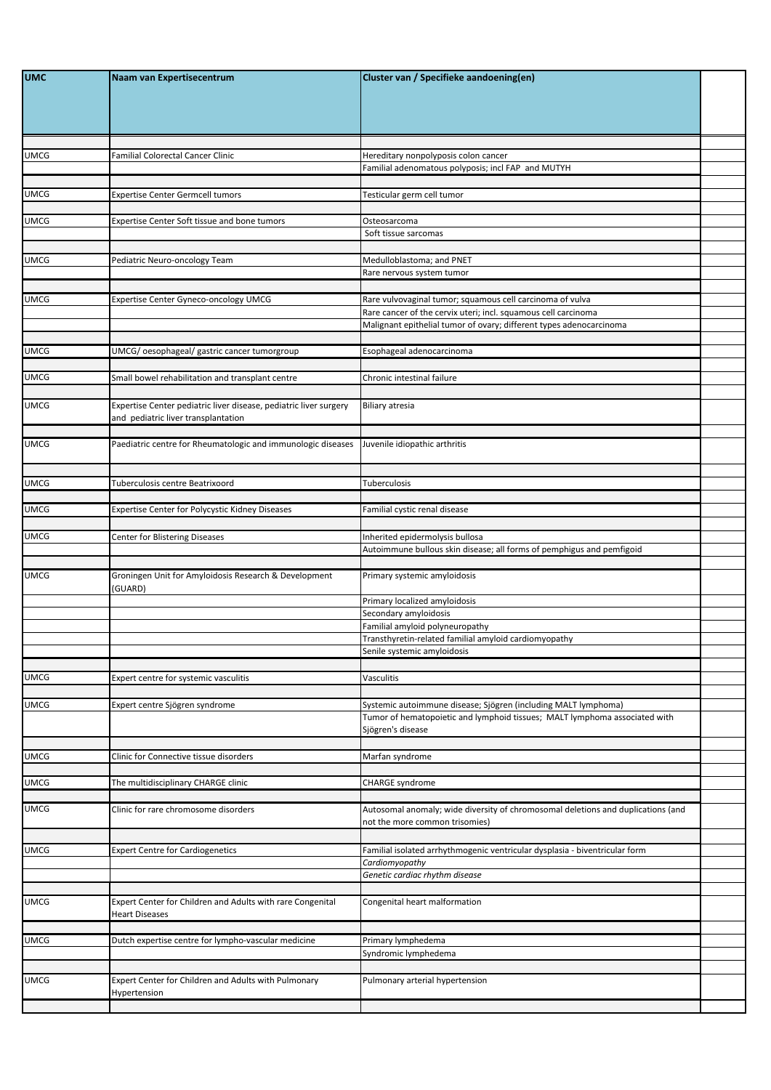| <b>UMC</b>  | Naam van Expertisecentrum                                                                                | Cluster van / Specifieke aandoening(en)                                                                                                                           |  |
|-------------|----------------------------------------------------------------------------------------------------------|-------------------------------------------------------------------------------------------------------------------------------------------------------------------|--|
| <b>UMCG</b> | Familial Colorectal Cancer Clinic                                                                        | Hereditary nonpolyposis colon cancer                                                                                                                              |  |
|             |                                                                                                          | Familial adenomatous polyposis; incl FAP and MUTYH                                                                                                                |  |
| <b>UMCG</b> | Expertise Center Germcell tumors                                                                         | Testicular germ cell tumor                                                                                                                                        |  |
|             |                                                                                                          |                                                                                                                                                                   |  |
| <b>UMCG</b> | <b>Expertise Center Soft tissue and bone tumors</b>                                                      | Osteosarcoma<br>Soft tissue sarcomas                                                                                                                              |  |
|             |                                                                                                          |                                                                                                                                                                   |  |
| <b>UMCG</b> | Pediatric Neuro-oncology Team                                                                            | Medulloblastoma; and PNET                                                                                                                                         |  |
|             |                                                                                                          | Rare nervous system tumor                                                                                                                                         |  |
| <b>UMCG</b> | Expertise Center Gyneco-oncology UMCG                                                                    | Rare vulvovaginal tumor; squamous cell carcinoma of vulva                                                                                                         |  |
|             |                                                                                                          | Rare cancer of the cervix uteri; incl. squamous cell carcinoma                                                                                                    |  |
|             |                                                                                                          | Malignant epithelial tumor of ovary; different types adenocarcinoma                                                                                               |  |
| <b>UMCG</b> | UMCG/oesophageal/gastric cancer tumorgroup                                                               | Esophageal adenocarcinoma                                                                                                                                         |  |
|             |                                                                                                          |                                                                                                                                                                   |  |
| <b>UMCG</b> | Small bowel rehabilitation and transplant centre                                                         | Chronic intestinal failure                                                                                                                                        |  |
| <b>UMCG</b> | Expertise Center pediatric liver disease, pediatric liver surgery<br>and pediatric liver transplantation | <b>Biliary atresia</b>                                                                                                                                            |  |
| <b>UMCG</b> | Paediatric centre for Rheumatologic and immunologic diseases                                             | Juvenile idiopathic arthritis                                                                                                                                     |  |
|             | Tuberculosis centre Beatrixoord                                                                          | Tuberculosis                                                                                                                                                      |  |
| <b>UMCG</b> |                                                                                                          |                                                                                                                                                                   |  |
| <b>UMCG</b> | Expertise Center for Polycystic Kidney Diseases                                                          | Familial cystic renal disease                                                                                                                                     |  |
|             |                                                                                                          |                                                                                                                                                                   |  |
| <b>UMCG</b> | Center for Blistering Diseases                                                                           | Inherited epidermolysis bullosa<br>Autoimmune bullous skin disease; all forms of pemphigus and pemfigoid                                                          |  |
|             |                                                                                                          |                                                                                                                                                                   |  |
| <b>UMCG</b> | Groningen Unit for Amyloidosis Research & Development<br>(GUARD)                                         | Primary systemic amyloidosis                                                                                                                                      |  |
|             |                                                                                                          | Primary localized amyloidosis<br>Secondary amyloidosis                                                                                                            |  |
|             |                                                                                                          | Familial amyloid polyneuropathy                                                                                                                                   |  |
|             |                                                                                                          | Transthyretin-related familial amyloid cardiomyopathy                                                                                                             |  |
|             |                                                                                                          | Senile systemic amyloidosis                                                                                                                                       |  |
| <b>UMCG</b> | Expert centre for systemic vasculitis                                                                    | Vasculitis                                                                                                                                                        |  |
|             |                                                                                                          |                                                                                                                                                                   |  |
| <b>UMCG</b> | Expert centre Sjögren syndrome                                                                           | Systemic autoimmune disease; Sjögren (including MALT lymphoma)<br>Tumor of hematopoietic and lymphoid tissues; MALT lymphoma associated with<br>Sjögren's disease |  |
|             |                                                                                                          |                                                                                                                                                                   |  |
| <b>UMCG</b> | Clinic for Connective tissue disorders                                                                   | Marfan syndrome                                                                                                                                                   |  |
| <b>UMCG</b> | The multidisciplinary CHARGE clinic                                                                      | <b>CHARGE syndrome</b>                                                                                                                                            |  |
| <b>UMCG</b> | Clinic for rare chromosome disorders                                                                     | Autosomal anomaly; wide diversity of chromosomal deletions and duplications (and<br>not the more common trisomies)                                                |  |
| <b>UMCG</b> | <b>Expert Centre for Cardiogenetics</b>                                                                  | Familial isolated arrhythmogenic ventricular dysplasia - biventricular form                                                                                       |  |
|             |                                                                                                          | Cardiomyopathy<br>Genetic cardiac rhythm disease                                                                                                                  |  |
|             |                                                                                                          |                                                                                                                                                                   |  |
| <b>UMCG</b> | Expert Center for Children and Adults with rare Congenital<br><b>Heart Diseases</b>                      | Congenital heart malformation                                                                                                                                     |  |
| <b>UMCG</b> | Dutch expertise centre for lympho-vascular medicine                                                      | Primary lymphedema                                                                                                                                                |  |
|             |                                                                                                          | Syndromic lymphedema                                                                                                                                              |  |
| <b>UMCG</b> | Expert Center for Children and Adults with Pulmonary<br>Hypertension                                     | Pulmonary arterial hypertension                                                                                                                                   |  |
|             |                                                                                                          |                                                                                                                                                                   |  |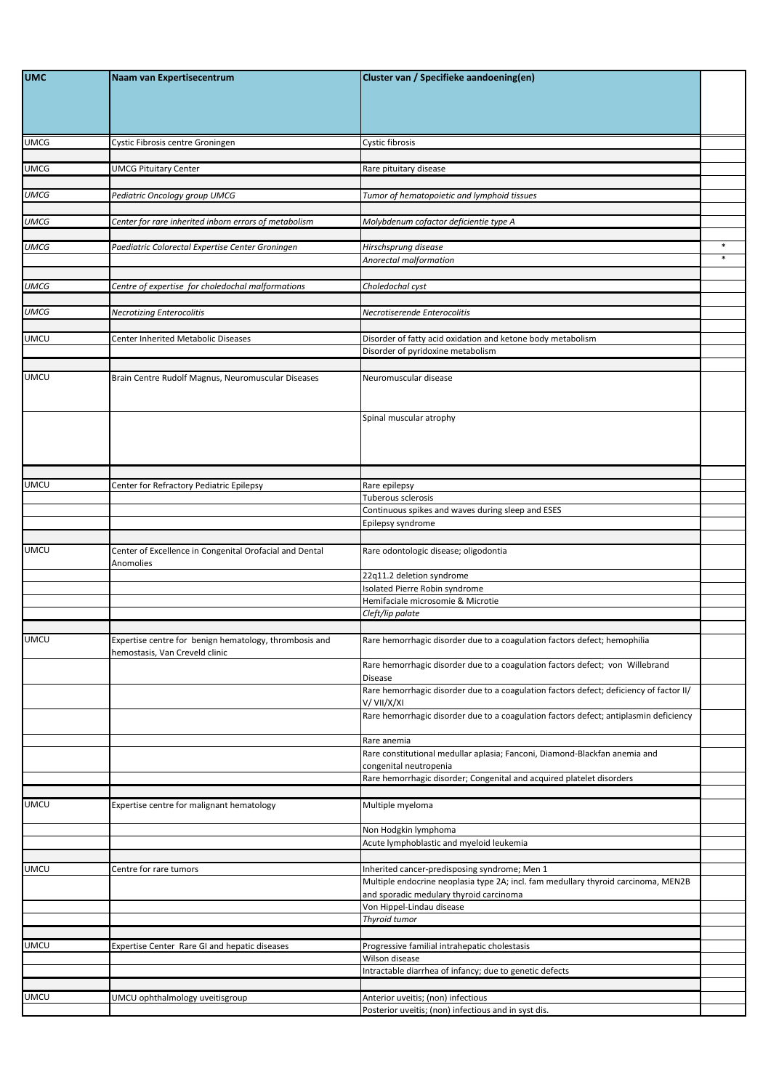| <b>UMC</b>  | Naam van Expertisecentrum                                                                | Cluster van / Specifieke aandoening(en)                                                                                       |        |
|-------------|------------------------------------------------------------------------------------------|-------------------------------------------------------------------------------------------------------------------------------|--------|
|             |                                                                                          |                                                                                                                               |        |
|             |                                                                                          |                                                                                                                               |        |
| <b>UMCG</b> | Cystic Fibrosis centre Groningen                                                         | Cystic fibrosis                                                                                                               |        |
| <b>UMCG</b> | <b>UMCG Pituitary Center</b>                                                             | Rare pituitary disease                                                                                                        |        |
| <b>UMCG</b> |                                                                                          |                                                                                                                               |        |
|             | Pediatric Oncology group UMCG                                                            | Tumor of hematopoietic and lymphoid tissues                                                                                   |        |
| <b>UMCG</b> | Center for rare inherited inborn errors of metabolism                                    | Molybdenum cofactor deficientie type A                                                                                        |        |
| <b>UMCG</b> | Paediatric Colorectal Expertise Center Groningen                                         | Hirschsprung disease                                                                                                          | $\ast$ |
|             |                                                                                          | Anorectal malformation                                                                                                        | $\ast$ |
| <b>UMCG</b> | Centre of expertise for choledochal malformations                                        | Choledochal cyst                                                                                                              |        |
| <b>UMCG</b> | <b>Necrotizing Enterocolitis</b>                                                         | Necrotiserende Enterocolitis                                                                                                  |        |
|             |                                                                                          |                                                                                                                               |        |
| <b>UMCU</b> | Center Inherited Metabolic Diseases                                                      | Disorder of fatty acid oxidation and ketone body metabolism<br>Disorder of pyridoxine metabolism                              |        |
|             |                                                                                          |                                                                                                                               |        |
| <b>UMCU</b> | Brain Centre Rudolf Magnus, Neuromuscular Diseases                                       | Neuromuscular disease                                                                                                         |        |
|             |                                                                                          |                                                                                                                               |        |
|             |                                                                                          | Spinal muscular atrophy                                                                                                       |        |
|             |                                                                                          |                                                                                                                               |        |
|             |                                                                                          |                                                                                                                               |        |
| <b>UMCU</b> | Center for Refractory Pediatric Epilepsy                                                 | Rare epilepsy                                                                                                                 |        |
|             |                                                                                          | Tuberous sclerosis                                                                                                            |        |
|             |                                                                                          | Continuous spikes and waves during sleep and ESES<br>Epilepsy syndrome                                                        |        |
|             |                                                                                          |                                                                                                                               |        |
| <b>UMCU</b> | Center of Excellence in Congenital Orofacial and Dental<br>Anomolies                     | Rare odontologic disease; oligodontia                                                                                         |        |
|             |                                                                                          | 22q11.2 deletion syndrome<br>Isolated Pierre Robin syndrome                                                                   |        |
|             |                                                                                          | Hemifaciale microsomie & Microtie                                                                                             |        |
|             |                                                                                          | Cleft/lip palate                                                                                                              |        |
| <b>UMCU</b> | Expertise centre for benign hematology, thrombosis and<br>hemostasis, Van Creveld clinic | Rare hemorrhagic disorder due to a coagulation factors defect; hemophilia                                                     |        |
|             |                                                                                          | Rare hemorrhagic disorder due to a coagulation factors defect; von Willebrand                                                 |        |
|             |                                                                                          | <b>Disease</b><br>Rare hemorrhagic disorder due to a coagulation factors defect; deficiency of factor II/                     |        |
|             |                                                                                          | V/VII/X/XI<br>Rare hemorrhagic disorder due to a coagulation factors defect; antiplasmin deficiency                           |        |
|             |                                                                                          |                                                                                                                               |        |
|             |                                                                                          | Rare anemia<br>Rare constitutional medullar aplasia; Fanconi, Diamond-Blackfan anemia and                                     |        |
|             |                                                                                          | congenital neutropenia                                                                                                        |        |
|             |                                                                                          | Rare hemorrhagic disorder; Congenital and acquired platelet disorders                                                         |        |
| <b>UMCU</b> | Expertise centre for malignant hematology                                                | Multiple myeloma                                                                                                              |        |
|             |                                                                                          | Non Hodgkin lymphoma                                                                                                          |        |
|             |                                                                                          | Acute lymphoblastic and myeloid leukemia                                                                                      |        |
| <b>UMCU</b> | Centre for rare tumors                                                                   | Inherited cancer-predisposing syndrome; Men 1                                                                                 |        |
|             |                                                                                          | Multiple endocrine neoplasia type 2A; incl. fam medullary thyroid carcinoma, MEN2B<br>and sporadic medulary thyroid carcinoma |        |
|             |                                                                                          | Von Hippel-Lindau disease                                                                                                     |        |
|             |                                                                                          | Thyroid tumor                                                                                                                 |        |
| <b>UMCU</b> | Expertise Center Rare GI and hepatic diseases                                            | Progressive familial intrahepatic cholestasis                                                                                 |        |
|             |                                                                                          | Wilson disease<br>Intractable diarrhea of infancy; due to genetic defects                                                     |        |
|             |                                                                                          |                                                                                                                               |        |
| <b>UMCU</b> | UMCU ophthalmology uveitisgroup                                                          | Anterior uveitis; (non) infectious                                                                                            |        |
|             |                                                                                          | Posterior uveitis; (non) infectious and in syst dis.                                                                          |        |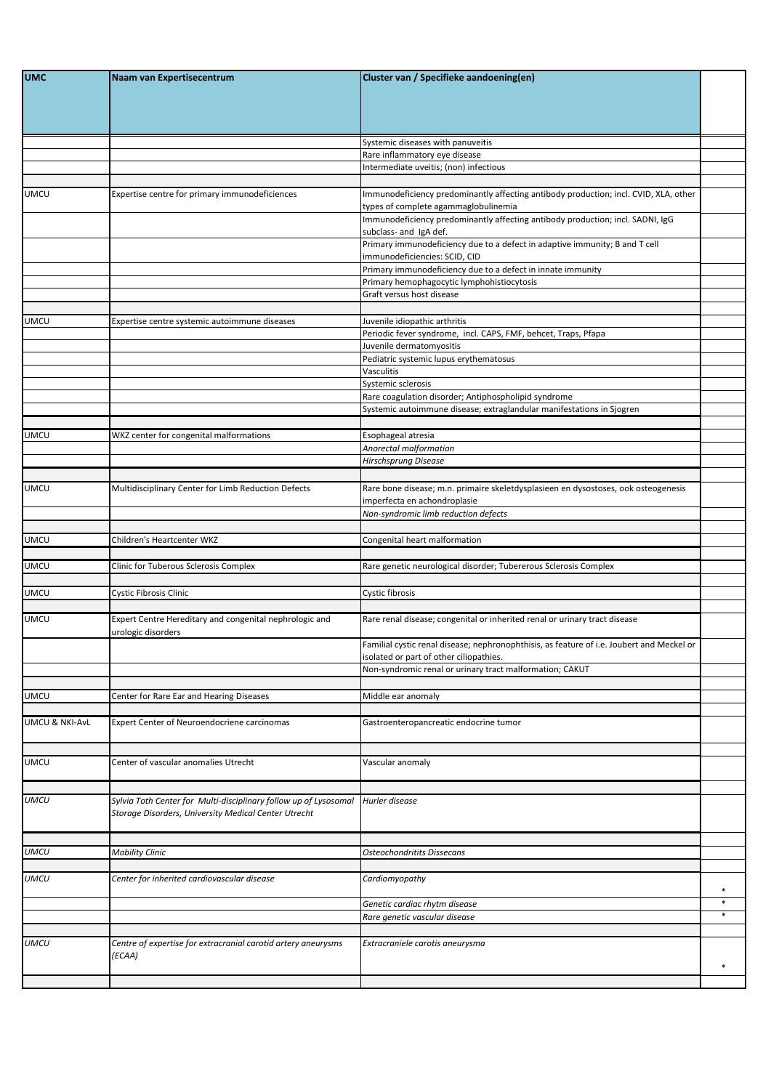| <b>UMC</b>     | Naam van Expertisecentrum                                                                                                | Cluster van / Specifieke aandoening(en)                                                                                                                                 |        |
|----------------|--------------------------------------------------------------------------------------------------------------------------|-------------------------------------------------------------------------------------------------------------------------------------------------------------------------|--------|
|                |                                                                                                                          |                                                                                                                                                                         |        |
|                |                                                                                                                          | Systemic diseases with panuveitis                                                                                                                                       |        |
|                |                                                                                                                          | Rare inflammatory eye disease                                                                                                                                           |        |
|                |                                                                                                                          | Intermediate uveitis; (non) infectious                                                                                                                                  |        |
| <b>UMCU</b>    | Expertise centre for primary immunodeficiences                                                                           | Immunodeficiency predominantly affecting antibody production; incl. CVID, XLA, other<br>types of complete agammaglobulinemia                                            |        |
|                |                                                                                                                          | Immunodeficiency predominantly affecting antibody production; incl. SADNI, IgG<br>subclass- and IgA def.                                                                |        |
|                |                                                                                                                          | Primary immunodeficiency due to a defect in adaptive immunity; B and T cell<br>immunodeficiencies: SCID, CID                                                            |        |
|                |                                                                                                                          | Primary immunodeficiency due to a defect in innate immunity<br>Primary hemophagocytic lymphohistiocytosis                                                               |        |
|                |                                                                                                                          | Graft versus host disease                                                                                                                                               |        |
|                |                                                                                                                          |                                                                                                                                                                         |        |
| <b>UMCU</b>    | Expertise centre systemic autoimmune diseases                                                                            | Juvenile idiopathic arthritis<br>Periodic fever syndrome, incl. CAPS, FMF, behcet, Traps, Pfapa                                                                         |        |
|                |                                                                                                                          | Juvenile dermatomyositis                                                                                                                                                |        |
|                |                                                                                                                          | Pediatric systemic lupus erythematosus<br>Vasculitis                                                                                                                    |        |
|                |                                                                                                                          | Systemic sclerosis                                                                                                                                                      |        |
|                |                                                                                                                          | Rare coagulation disorder; Antiphospholipid syndrome                                                                                                                    |        |
|                |                                                                                                                          | Systemic autoimmune disease; extraglandular manifestations in Sjogren                                                                                                   |        |
| UMCU           | WKZ center for congenital malformations                                                                                  | Esophageal atresia                                                                                                                                                      |        |
|                |                                                                                                                          | Anorectal malformation                                                                                                                                                  |        |
|                |                                                                                                                          | Hirschsprung Disease                                                                                                                                                    |        |
| <b>UMCU</b>    | Multidisciplinary Center for Limb Reduction Defects                                                                      | Rare bone disease; m.n. primaire skeletdysplasieen en dysostoses, ook osteogenesis                                                                                      |        |
|                |                                                                                                                          | imperfecta en achondroplasie                                                                                                                                            |        |
|                |                                                                                                                          | Non-syndromic limb reduction defects                                                                                                                                    |        |
| <b>UMCU</b>    | Children's Heartcenter WKZ                                                                                               | Congenital heart malformation                                                                                                                                           |        |
|                |                                                                                                                          |                                                                                                                                                                         |        |
| <b>UMCU</b>    | Clinic for Tuberous Sclerosis Complex                                                                                    | Rare genetic neurological disorder; Tubererous Sclerosis Complex                                                                                                        |        |
| <b>UMCU</b>    | Cystic Fibrosis Clinic                                                                                                   | Cystic fibrosis                                                                                                                                                         |        |
|                |                                                                                                                          |                                                                                                                                                                         |        |
| <b>UMCU</b>    | Expert Centre Hereditary and congenital nephrologic and<br>urologic disorders                                            | Rare renal disease; congenital or inherited renal or urinary tract disease<br>Familial cystic renal disease; nephronophthisis, as feature of i.e. Joubert and Meckel or |        |
|                |                                                                                                                          | isolated or part of other ciliopathies.                                                                                                                                 |        |
|                |                                                                                                                          | Non-syndromic renal or urinary tract malformation; CAKUT                                                                                                                |        |
| <b>UMCU</b>    | Center for Rare Ear and Hearing Diseases                                                                                 | Middle ear anomaly                                                                                                                                                      |        |
|                |                                                                                                                          |                                                                                                                                                                         |        |
| UMCU & NKI-AvL | Expert Center of Neuroendocriene carcinomas                                                                              | Gastroenteropancreatic endocrine tumor                                                                                                                                  |        |
| <b>UMCU</b>    | Center of vascular anomalies Utrecht                                                                                     | Vascular anomaly                                                                                                                                                        |        |
|                |                                                                                                                          |                                                                                                                                                                         |        |
| umcu           | Sylvia Toth Center for Multi-disciplinary follow up of Lysosomal<br>Storage Disorders, University Medical Center Utrecht | Hurler disease                                                                                                                                                          |        |
|                |                                                                                                                          |                                                                                                                                                                         |        |
| <b>UMCU</b>    | <b>Mobility Clinic</b>                                                                                                   | <b>Osteochondritits Dissecans</b>                                                                                                                                       |        |
| UMCU           | Center for inherited cardiovascular disease                                                                              | Cardiomyopathy                                                                                                                                                          | $\ast$ |
|                |                                                                                                                          | Genetic cardiac rhytm disease                                                                                                                                           | $\ast$ |
|                |                                                                                                                          | Rare genetic vascular disease                                                                                                                                           | $\ast$ |
| <b>UMCU</b>    | Centre of expertise for extracranial carotid artery aneurysms                                                            | Extracraniele carotis aneurysma                                                                                                                                         |        |
|                | (ECAA)                                                                                                                   |                                                                                                                                                                         | $\ast$ |
|                |                                                                                                                          |                                                                                                                                                                         |        |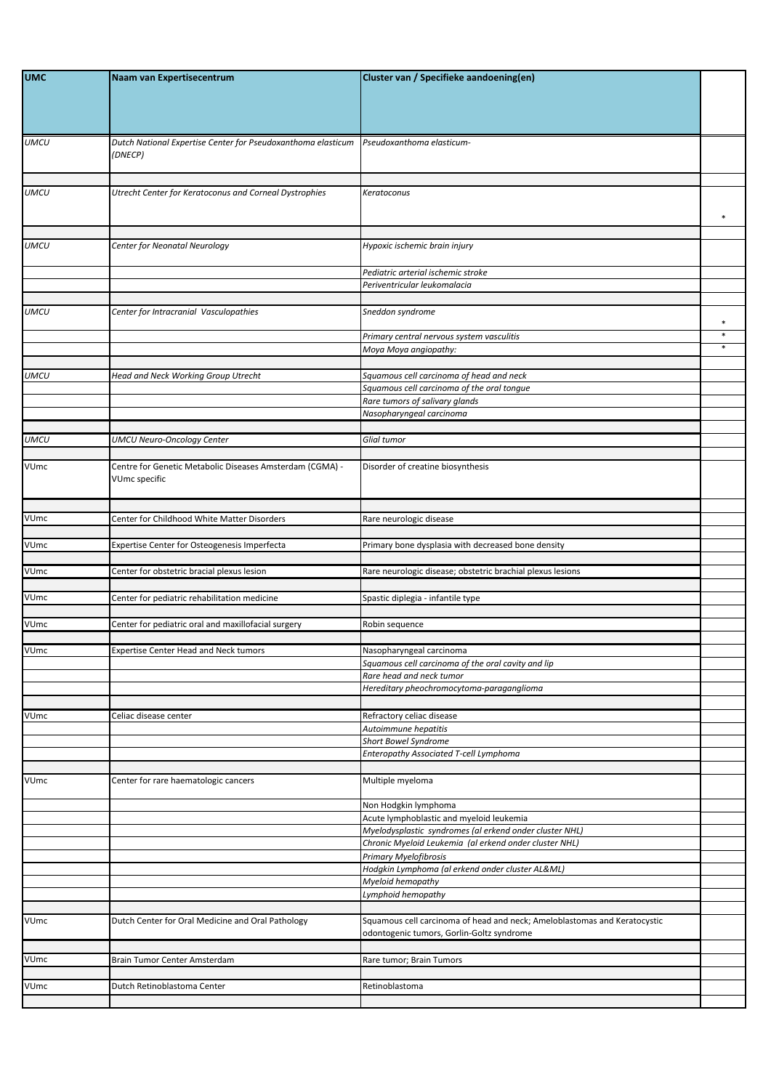| <b>UMC</b>  | Naam van Expertisecentrum                                                 | Cluster van / Specifieke aandoening(en)                                                                                     |                  |
|-------------|---------------------------------------------------------------------------|-----------------------------------------------------------------------------------------------------------------------------|------------------|
| <b>UMCU</b> | Dutch National Expertise Center for Pseudoxanthoma elasticum<br>(DNECP)   | Pseudoxanthoma elasticum-                                                                                                   |                  |
| <b>UMCU</b> | Utrecht Center for Keratoconus and Corneal Dystrophies                    | Keratoconus                                                                                                                 | $\ast$           |
| <b>UMCU</b> | Center for Neonatal Neurology                                             | Hypoxic ischemic brain injury                                                                                               |                  |
|             |                                                                           | Pediatric arterial ischemic stroke<br>Periventricular leukomalacia                                                          |                  |
| <b>UMCU</b> | Center for Intracranial Vasculopathies                                    | Sneddon syndrome                                                                                                            | $\ast$           |
|             |                                                                           | Primary central nervous system vasculitis<br>Moya Moya angiopathy:                                                          | $\ast$<br>$\ast$ |
| <b>UMCU</b> | <b>Head and Neck Working Group Utrecht</b>                                | Squamous cell carcinoma of head and neck<br>Squamous cell carcinoma of the oral tongue<br>Rare tumors of salivary glands    |                  |
|             |                                                                           | Nasopharyngeal carcinoma                                                                                                    |                  |
| <b>UMCU</b> | <b>UMCU Neuro-Oncology Center</b>                                         | Glial tumor                                                                                                                 |                  |
| VUmc        | Centre for Genetic Metabolic Diseases Amsterdam (CGMA) -<br>VUmc specific | Disorder of creatine biosynthesis                                                                                           |                  |
| VUmc        | Center for Childhood White Matter Disorders                               | Rare neurologic disease                                                                                                     |                  |
| VUmc        | Expertise Center for Osteogenesis Imperfecta                              | Primary bone dysplasia with decreased bone density                                                                          |                  |
| VUmc        | Center for obstetric bracial plexus lesion                                | Rare neurologic disease; obstetric brachial plexus lesions                                                                  |                  |
| VUmc        | Center for pediatric rehabilitation medicine                              | Spastic diplegia - infantile type                                                                                           |                  |
| VUmc        | Center for pediatric oral and maxillofacial surgery                       | Robin sequence                                                                                                              |                  |
| VUmc        | <b>Expertise Center Head and Neck tumors</b>                              | Nasopharyngeal carcinoma<br>Squamous cell carcinoma of the oral cavity and lip                                              |                  |
|             |                                                                           | Rare head and neck tumor<br>Hereditary pheochromocytoma-paraganglioma                                                       |                  |
| VUmc        | Celiac disease center                                                     | Refractory celiac disease<br>Autoimmune hepatitis<br>Short Bowel Syndrome<br>Enteropathy Associated T-cell Lymphoma         |                  |
| <b>VUmc</b> | Center for rare haematologic cancers                                      | Multiple myeloma                                                                                                            |                  |
|             |                                                                           | Non Hodgkin lymphoma<br>Acute lymphoblastic and myeloid leukemia<br>Myelodysplastic syndromes (al erkend onder cluster NHL) |                  |
|             |                                                                           | Chronic Myeloid Leukemia (al erkend onder cluster NHL)<br><b>Primary Myelofibrosis</b>                                      |                  |
|             |                                                                           | Hodgkin Lymphoma (al erkend onder cluster AL&ML)<br>Myeloid hemopathy<br>Lymphoid hemopathy                                 |                  |
| <b>VUmc</b> | Dutch Center for Oral Medicine and Oral Pathology                         | Squamous cell carcinoma of head and neck; Ameloblastomas and Keratocystic<br>odontogenic tumors, Gorlin-Goltz syndrome      |                  |
| VUmc        | Brain Tumor Center Amsterdam                                              | Rare tumor; Brain Tumors                                                                                                    |                  |
| VUmc        | Dutch Retinoblastoma Center                                               | Retinoblastoma                                                                                                              |                  |
|             |                                                                           |                                                                                                                             |                  |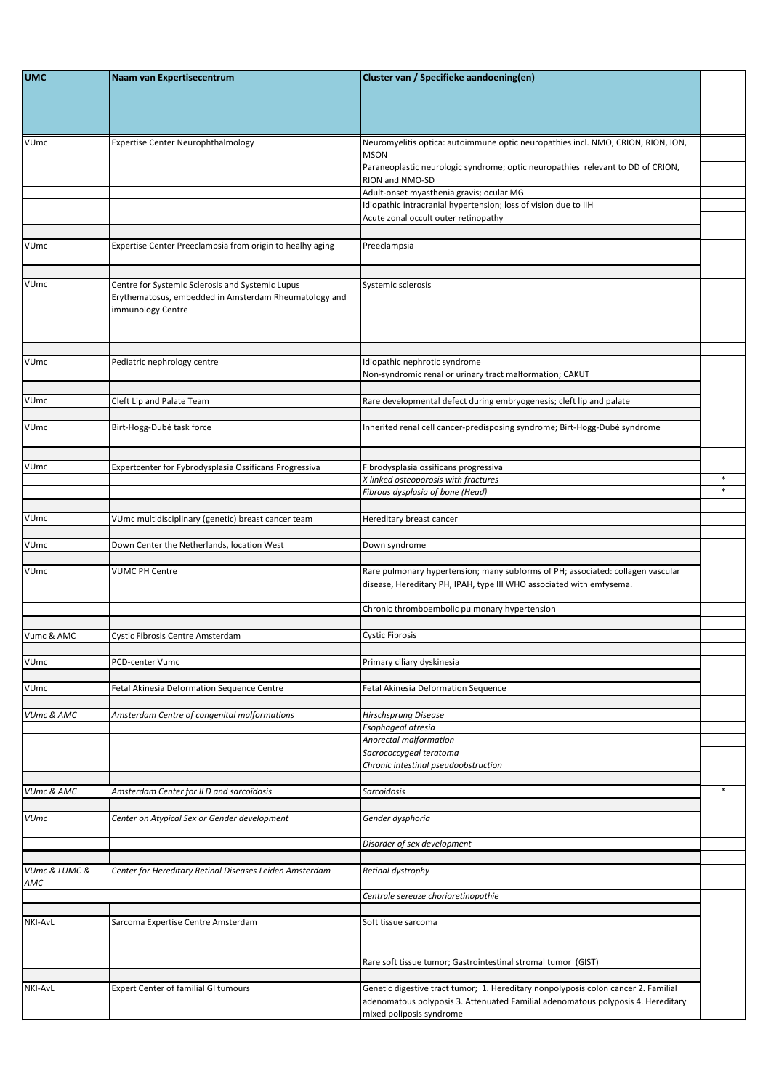| <b>UMC</b>           | Naam van Expertisecentrum                                                                                                     | Cluster van / Specifieke aandoening(en)                                                                                                                 |        |
|----------------------|-------------------------------------------------------------------------------------------------------------------------------|---------------------------------------------------------------------------------------------------------------------------------------------------------|--------|
| VUmc                 | <b>Expertise Center Neurophthalmology</b>                                                                                     | Neuromyelitis optica: autoimmune optic neuropathies incl. NMO, CRION, RION, ION,<br><b>MSON</b>                                                         |        |
|                      |                                                                                                                               | Paraneoplastic neurologic syndrome; optic neuropathies relevant to DD of CRION,<br>RION and NMO-SD                                                      |        |
|                      |                                                                                                                               | Adult-onset myasthenia gravis; ocular MG                                                                                                                |        |
|                      |                                                                                                                               | Idiopathic intracranial hypertension; loss of vision due to IIH<br>Acute zonal occult outer retinopathy                                                 |        |
|                      |                                                                                                                               |                                                                                                                                                         |        |
| VUmc                 | Expertise Center Preeclampsia from origin to healhy aging                                                                     | Preeclampsia                                                                                                                                            |        |
| VUmc                 | Centre for Systemic Sclerosis and Systemic Lupus<br>Erythematosus, embedded in Amsterdam Rheumatology and<br>mmunology Centre | Systemic sclerosis                                                                                                                                      |        |
| VUmc                 | Pediatric nephrology centre                                                                                                   | Idiopathic nephrotic syndrome                                                                                                                           |        |
|                      |                                                                                                                               | Non-syndromic renal or urinary tract malformation; CAKUT                                                                                                |        |
|                      |                                                                                                                               |                                                                                                                                                         |        |
| VUmc                 | Cleft Lip and Palate Team                                                                                                     | Rare developmental defect during embryogenesis; cleft lip and palate                                                                                    |        |
| <b>VUmc</b>          | Birt-Hogg-Dubé task force                                                                                                     | Inherited renal cell cancer-predisposing syndrome; Birt-Hogg-Dubé syndrome                                                                              |        |
| VUmc                 | Expertcenter for Fybrodysplasia Ossificans Progressiva                                                                        | Fibrodysplasia ossificans progressiva                                                                                                                   |        |
|                      |                                                                                                                               | X linked osteoporosis with fractures                                                                                                                    | $\ast$ |
|                      |                                                                                                                               | Fibrous dysplasia of bone (Head)                                                                                                                        | $\ast$ |
| VUmc                 | VUmc multidisciplinary (genetic) breast cancer team                                                                           | Hereditary breast cancer                                                                                                                                |        |
|                      |                                                                                                                               |                                                                                                                                                         |        |
| <b>VUmc</b>          | Down Center the Netherlands, location West                                                                                    | Down syndrome                                                                                                                                           |        |
| VUmc                 | <b>VUMC PH Centre</b>                                                                                                         | Rare pulmonary hypertension; many subforms of PH; associated: collagen vascular<br>disease, Hereditary PH, IPAH, type III WHO associated with emfysema. |        |
|                      |                                                                                                                               | Chronic thromboembolic pulmonary hypertension                                                                                                           |        |
| Vumc & AMC           | Cystic Fibrosis Centre Amsterdam                                                                                              | <b>Cystic Fibrosis</b>                                                                                                                                  |        |
|                      |                                                                                                                               |                                                                                                                                                         |        |
| VUmc                 | PCD-center Vumc                                                                                                               | Primary ciliary dyskinesia                                                                                                                              |        |
| <b>VUmc</b>          | Fetal Akinesia Deformation Sequence Centre                                                                                    | Fetal Akinesia Deformation Sequence                                                                                                                     |        |
|                      |                                                                                                                               |                                                                                                                                                         |        |
| VUmc & AMC           | Amsterdam Centre of congenital malformations                                                                                  | Hirschsprung Disease<br>Esophageal atresia                                                                                                              |        |
|                      |                                                                                                                               | Anorectal malformation                                                                                                                                  |        |
|                      |                                                                                                                               | Sacrococcygeal teratoma                                                                                                                                 |        |
|                      |                                                                                                                               | Chronic intestinal pseudoobstruction                                                                                                                    |        |
| VUmc & AMC           | Amsterdam Center for ILD and sarcoïdosis                                                                                      | Sarcoidosis                                                                                                                                             | $\ast$ |
| <b>VUmc</b>          |                                                                                                                               |                                                                                                                                                         |        |
|                      | Center on Atypical Sex or Gender development                                                                                  | Gender dysphoria                                                                                                                                        |        |
|                      |                                                                                                                               | Disorder of sex development                                                                                                                             |        |
| VUmc & LUMC &<br>AMC | Center for Hereditary Retinal Diseases Leiden Amsterdam                                                                       | Retinal dystrophy                                                                                                                                       |        |
|                      |                                                                                                                               | Centrale sereuze chorioretinopathie                                                                                                                     |        |
| <b>NKI-AvL</b>       |                                                                                                                               | Soft tissue sarcoma                                                                                                                                     |        |
|                      | Sarcoma Expertise Centre Amsterdam                                                                                            |                                                                                                                                                         |        |
|                      |                                                                                                                               | Rare soft tissue tumor; Gastrointestinal stromal tumor (GIST)                                                                                           |        |
| <b>NKI-AvL</b>       | <b>Expert Center of familial GI tumours</b>                                                                                   | Genetic digestive tract tumor; 1. Hereditary nonpolyposis colon cancer 2. Familial                                                                      |        |
|                      |                                                                                                                               | adenomatous polyposis 3. Attenuated Familial adenomatous polyposis 4. Hereditary<br>mixed poliposis syndrome                                            |        |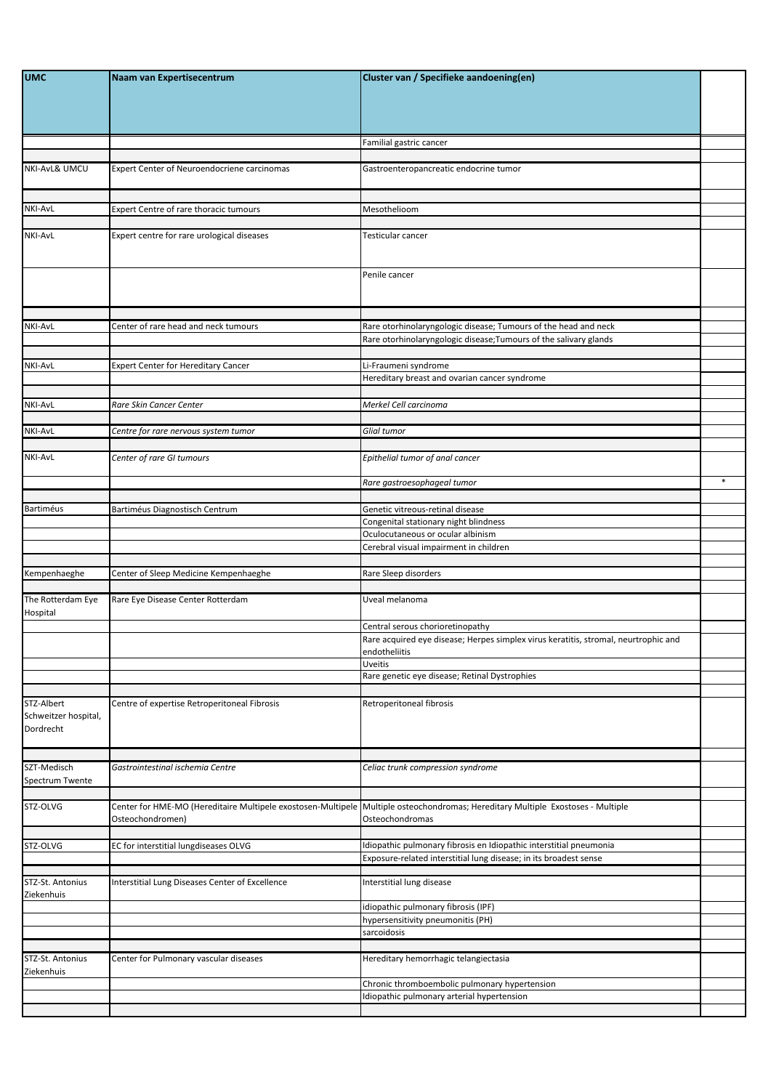| <b>UMC</b>                                      | Naam van Expertisecentrum                       | Cluster van / Specifieke aandoening(en)                                                                                                              |        |
|-------------------------------------------------|-------------------------------------------------|------------------------------------------------------------------------------------------------------------------------------------------------------|--------|
|                                                 |                                                 | Familial gastric cancer                                                                                                                              |        |
| NKI-AvL& UMCU                                   | Expert Center of Neuroendocriene carcinomas     | Gastroenteropancreatic endocrine tumor                                                                                                               |        |
| <b>NKI-AvL</b>                                  | Expert Centre of rare thoracic tumours          | Mesothelioom                                                                                                                                         |        |
| <b>NKI-AvL</b>                                  | Expert centre for rare urological diseases      | Testicular cancer                                                                                                                                    |        |
|                                                 |                                                 | Penile cancer                                                                                                                                        |        |
| <b>NKI-AvL</b>                                  | Center of rare head and neck tumours            | Rare otorhinolaryngologic disease; Tumours of the head and neck<br>Rare otorhinolaryngologic disease; Tumours of the salivary glands                 |        |
| <b>NKI-AvL</b>                                  | <b>Expert Center for Hereditary Cancer</b>      | Li-Fraumeni syndrome<br>Hereditary breast and ovarian cancer syndrome                                                                                |        |
| <b>NKI-AvL</b>                                  | Rare Skin Cancer Center                         | Merkel Cell carcinoma                                                                                                                                |        |
| <b>NKI-AvL</b>                                  | Centre for rare nervous system tumor            | Glial tumor                                                                                                                                          |        |
| NKI-AvL                                         | Center of rare GI tumours                       | Epithelial tumor of anal cancer                                                                                                                      |        |
|                                                 |                                                 | Rare gastroesophageal tumor                                                                                                                          | $\ast$ |
| <b>Bartiméus</b>                                | Bartiméus Diagnostisch Centrum                  | Genetic vitreous-retinal disease<br>Congenital stationary night blindness                                                                            |        |
|                                                 |                                                 | Oculocutaneous or ocular albinism<br>Cerebral visual impairment in children                                                                          |        |
| Kempenhaeghe                                    | Center of Sleep Medicine Kempenhaeghe           | Rare Sleep disorders                                                                                                                                 |        |
| The Rotterdam Eye<br>Hospital                   | Rare Eye Disease Center Rotterdam               | Uveal melanoma                                                                                                                                       |        |
|                                                 |                                                 | Central serous chorioretinopathy<br>Rare acquired eye disease; Herpes simplex virus keratitis, stromal, neurtrophic and<br>endotheliitis             |        |
|                                                 |                                                 | Uveitis<br>Rare genetic eye disease; Retinal Dystrophies                                                                                             |        |
|                                                 |                                                 |                                                                                                                                                      |        |
| STZ-Albert<br>Schweitzer hospital,<br>Dordrecht | Centre of expertise Retroperitoneal Fibrosis    | Retroperitoneal fibrosis                                                                                                                             |        |
| SZT-Medisch<br>Spectrum Twente                  | Gastrointestinal ischemia Centre                | Celiac trunk compression syndrome                                                                                                                    |        |
| STZ-OLVG                                        | Osteochondromen)                                | Center for HME-MO (Hereditaire Multipele exostosen-Multipele   Multiple osteochondromas; Hereditary Multiple Exostoses - Multiple<br>Osteochondromas |        |
| STZ-OLVG                                        | EC for interstitial lungdiseases OLVG           | Idiopathic pulmonary fibrosis en Idiopathic interstitial pneumonia<br>Exposure-related interstitial lung disease; in its broadest sense              |        |
| STZ-St. Antonius<br>Ziekenhuis                  | Interstitial Lung Diseases Center of Excellence | Interstitial lung disease                                                                                                                            |        |
|                                                 |                                                 | idiopathic pulmonary fibrosis (IPF)<br>hypersensitivity pneumonitis (PH)                                                                             |        |
|                                                 |                                                 | sarcoidosis                                                                                                                                          |        |
| STZ-St. Antonius                                | Center for Pulmonary vascular diseases          | Hereditary hemorrhagic telangiectasia                                                                                                                |        |
| Ziekenhuis                                      |                                                 | Chronic thromboembolic pulmonary hypertension<br>Idiopathic pulmonary arterial hypertension                                                          |        |
|                                                 |                                                 |                                                                                                                                                      |        |